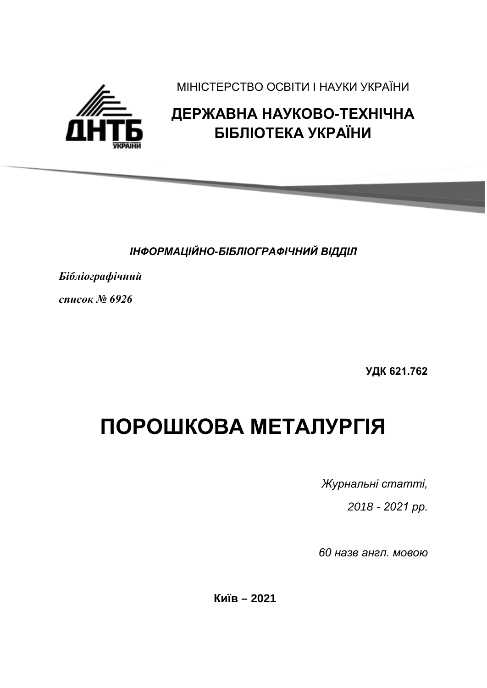

МІНІСТЕРСТВО ОСВІТИ І НАУКИ УКРАЇНИ

## **ДЕРЖАВНА НАУКОВО-ТЕХНІЧНА БІБЛІОТЕКА УКРАЇНИ**

## *ІНФОРМАЦІЙНО-БІБЛІОГРАФІЧНИЙ ВІДДІЛ*

*Бібліографічний*

*список № 6926*

**УДК 621.762** 

## **ПОРОШКОВА МЕТАЛУРГІЯ**

*Журнальні статті,*

*2018 - 2021 рр.*

*60 назв англ. мовою*

**Київ – 2021**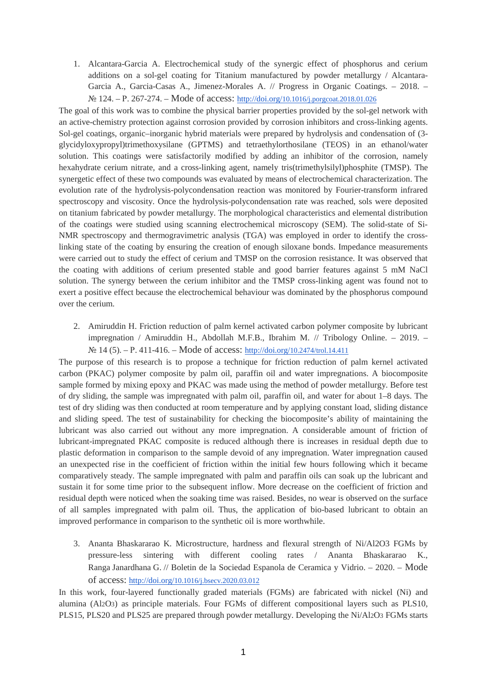1. Alcantara-Garcia A. Electrochemical study of the synergic effect of phosphorus and cerium additions on a sol-gel coating for Titanium manufactured by powder metallurgy / Alcantara-Garcia A., Garcia-Casas A., Jimenez-Morales A. // Progress in Organic Coatings. – 2018. – № 124. – Р. 267-274. – Mode of access:<http://doi.org/10.1016/j.porgcoat.2018.01.026>

The goal of this work was to combine the physical barrier properties provided by the sol-gel network with an active-chemistry protection against corrosion provided by corrosion inhibitors and cross-linking agents. Sol-gel coatings, organic–inorganic hybrid materials were prepared by hydrolysis and condensation of (3 glycidyloxypropyl)trimethoxysilane (GPTMS) and tetraethylorthosilane (TEOS) in an ethanol/water solution. This coatings were satisfactorily modified by adding an inhibitor of the corrosion, namely hexahydrate cerium nitrate, and a cross-linking agent, namely tris(trimethylsilyl)phosphite (TMSP). The synergetic effect of these two compounds was evaluated by means of electrochemical characterization. The evolution rate of the hydrolysis-polycondensation reaction was monitored by Fourier-transform infrared spectroscopy and viscosity. Once the hydrolysis-polycondensation rate was reached, sols were deposited on titanium fabricated by powder metallurgy. The morphological characteristics and elemental distribution of the coatings were studied using scanning electrochemical microscopy (SEM). The solid-state of Si-NMR spectroscopy and thermogravimetric analysis (TGA) was employed in order to identify the crosslinking state of the coating by ensuring the creation of enough siloxane bonds. Impedance measurements were carried out to study the effect of cerium and TMSP on the corrosion resistance. It was observed that the coating with additions of cerium presented stable and good barrier features against 5 mM NaCl solution. The synergy between the cerium inhibitor and the TMSP cross-linking agent was found not to exert a positive effect because the electrochemical behaviour was dominated by the phosphorus compound over the cerium.

2. Amiruddin H. Friction reduction of palm kernel activated carbon polymer composite by lubricant impregnation / Amiruddin H., Abdollah M.F.B., Ibrahim M. // Tribology Online. – 2019. – № 14 (5). – Р. 411-416. – Mode of access:<http://doi.org/10.2474/trol.14.411>

The purpose of this research is to propose a technique for friction reduction of palm kernel activated carbon (PKAC) polymer composite by palm oil, paraffin oil and water impregnations. A biocomposite sample formed by mixing epoxy and PKAC was made using the method of powder metallurgy. Before test of dry sliding, the sample was impregnated with palm oil, paraffin oil, and water for about 1–8 days. The test of dry sliding was then conducted at room temperature and by applying constant load, sliding distance and sliding speed. The test of sustainability for checking the biocomposite's ability of maintaining the lubricant was also carried out without any more impregnation. A considerable amount of friction of lubricant-impregnated PKAC composite is reduced although there is increases in residual depth due to plastic deformation in comparison to the sample devoid of any impregnation. Water impregnation caused an unexpected rise in the coefficient of friction within the initial few hours following which it became comparatively steady. The sample impregnated with palm and paraffin oils can soak up the lubricant and sustain it for some time prior to the subsequent inflow. More decrease on the coefficient of friction and residual depth were noticed when the soaking time was raised. Besides, no wear is observed on the surface of all samples impregnated with palm oil. Thus, the application of bio-based lubricant to obtain an improved performance in comparison to the synthetic oil is more worthwhile.

3. Ananta Bhaskararao K. Microstructure, hardness and flexural strength of Ni/Al2O3 FGMs by pressure-less sintering with different cooling rates / Ananta Bhaskararao K., Ranga Janardhana G. // Boletin de la Sociedad Espanola de Ceramica y Vidrio. – 2020. – Mode of access:<http://doi.org/10.1016/j.bsecv.2020.03.012>

In this work, four-layered functionally graded materials (FGMs) are fabricated with nickel (Ni) and alumina (Al2O3) as principle materials. Four FGMs of different compositional layers such as PLS10, PLS15, PLS20 and PLS25 are prepared through powder metallurgy. Developing the Ni/Al2O3 FGMs starts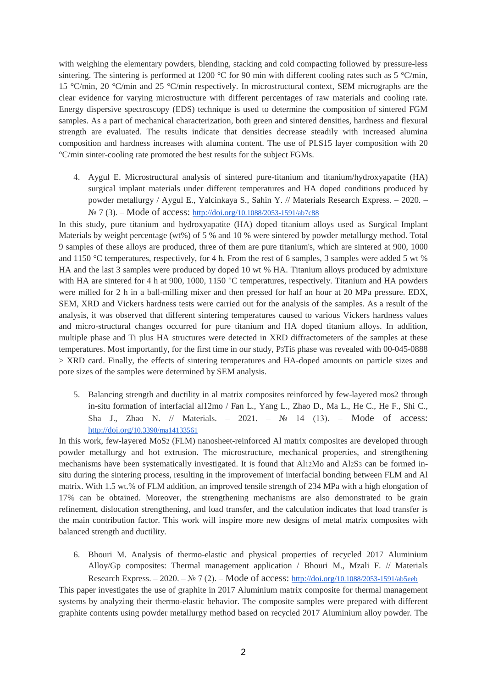with weighing the elementary powders, blending, stacking and cold compacting followed by pressure-less sintering. The sintering is performed at 1200  $^{\circ}$ C for 90 min with different cooling rates such as 5  $^{\circ}$ C/min, 15 °C/min, 20 °C/min and 25 °C/min respectively. In microstructural context, SEM micrographs are the clear evidence for varying microstructure with different percentages of raw materials and cooling rate. Energy dispersive spectroscopy (EDS) technique is used to determine the composition of sintered FGM samples. As a part of mechanical characterization, both green and sintered densities, hardness and flexural strength are evaluated. The results indicate that densities decrease steadily with increased alumina composition and hardness increases with alumina content. The use of PLS15 layer composition with 20 °C/min sinter-cooling rate promoted the best results for the subject FGMs.

4. Aygul E. Microstructural analysis of sintered pure-titanium and titanium/hydroxyapatite (HA) surgical implant materials under different temperatures and HA doped conditions produced by powder metallurgy / Aygul E., Yalcinkaya S., Sahin Y. // Materials Research Express. – 2020. – № 7 (3). – Mode of access:<http://doi.org/10.1088/2053-1591/ab7c88>

In this study, pure titanium and hydroxyapatite (HA) doped titanium alloys used as Surgical Implant Materials by weight percentage (wt%) of 5 % and 10 % were sintered by powder metallurgy method. Total 9 samples of these alloys are produced, three of them are pure titanium's, which are sintered at 900, 1000 and 1150 °C temperatures, respectively, for 4 h. From the rest of 6 samples, 3 samples were added 5 wt % HA and the last 3 samples were produced by doped 10 wt % HA. Titanium alloys produced by admixture with HA are sintered for 4 h at 900, 1000, 1150 °C temperatures, respectively. Titanium and HA powders were milled for 2 h in a ball-milling mixer and then pressed for half an hour at 20 MPa pressure. EDX, SEM, XRD and Vickers hardness tests were carried out for the analysis of the samples. As a result of the analysis, it was observed that different sintering temperatures caused to various Vickers hardness values and micro-structural changes occurred for pure titanium and HA doped titanium alloys. In addition, multiple phase and Ti plus HA structures were detected in XRD diffractometers of the samples at these temperatures. Most importantly, for the first time in our study, P3Ti5 phase was revealed with 00-045-0888 > XRD card. Finally, the effects of sintering temperatures and HA-doped amounts on particle sizes and pore sizes of the samples were determined by SEM analysis.

5. Balancing strength and ductility in al matrix composites reinforced by few-layered mos2 through in-situ formation of interfacial al12mo / Fan L., Yang L., Zhao D., Ma L., He C., He F., Shi C., Sha J., Zhao N. // Materials. – 2021. –  $N_2$  14 (13). – Mode of access: <http://doi.org/10.3390/ma14133561>

In this work, few-layered MoS2 (FLM) nanosheet-reinforced Al matrix composites are developed through powder metallurgy and hot extrusion. The microstructure, mechanical properties, and strengthening mechanisms have been systematically investigated. It is found that Al12Mo and Al2S3 can be formed insitu during the sintering process, resulting in the improvement of interfacial bonding between FLM and Al matrix. With 1.5 wt.% of FLM addition, an improved tensile strength of 234 MPa with a high elongation of 17% can be obtained. Moreover, the strengthening mechanisms are also demonstrated to be grain refinement, dislocation strengthening, and load transfer, and the calculation indicates that load transfer is the main contribution factor. This work will inspire more new designs of metal matrix composites with balanced strength and ductility.

6. Bhouri M. Analysis of thermo-elastic and physical properties of recycled 2017 Aluminium Alloy/Gp composites: Thermal management application / Bhouri M., Mzali F. // Materials Research Express. – 2020. – № 7 (2). – Mode of access:<http://doi.org/10.1088/2053-1591/ab5eeb>

This paper investigates the use of graphite in 2017 Aluminium matrix composite for thermal management systems by analyzing their thermo-elastic behavior. The composite samples were prepared with different graphite contents using powder metallurgy method based on recycled 2017 Aluminium alloy powder. The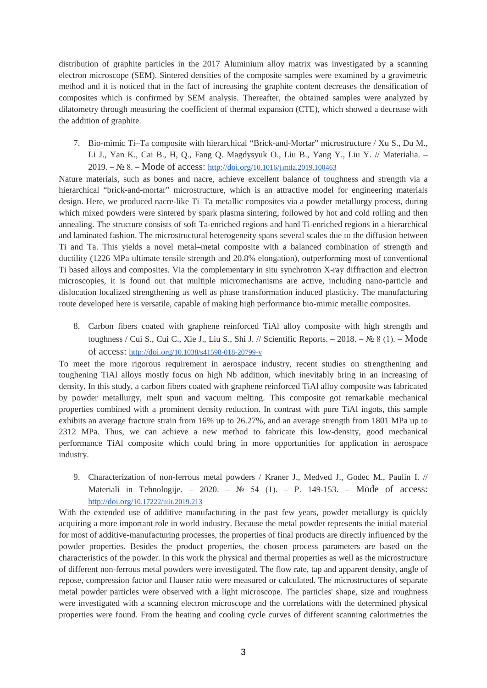distribution of graphite particles in the 2017 Aluminium alloy matrix was investigated by a scanning electron microscope (SEM). Sintered densities of the composite samples were examined by a gravimetric method and it is noticed that in the fact of increasing the graphite content decreases the densification of composites which is confirmed by SEM analysis. Thereafter, the obtained samples were analyzed by dilatometry through measuring the coefficient of thermal expansion (CTE), which showed a decrease with the addition of graphite.

7. Bio-mimic Ti–Ta composite with hierarchical "Brick-and-Mortar" microstructure / Xu S., Du M., Li J., Yan K., Cai B., H, Q., Fang Q. Magdysyuk O., Liu B., Yang Y., Liu Y. // Materialia. – 2019. – № 8. – Mode of access:<http://doi.org/10.1016/j.mtla.2019.100463>

Nature materials, such as bones and nacre, achieve excellent balance of toughness and strength via a hierarchical "brick-and-mortar" microstructure, which is an attractive model for engineering materials design. Here, we produced nacre-like Ti–Ta metallic composites via a powder metallurgy process, during which mixed powders were sintered by spark plasma sintering, followed by hot and cold rolling and then annealing. The structure consists of soft Ta-enriched regions and hard Ti-enriched regions in a hierarchical and laminated fashion. The microstructural heterogeneity spans several scales due to the diffusion between Ti and Ta. This yields a novel metal–metal composite with a balanced combination of strength and ductility (1226 MPa ultimate tensile strength and 20.8% elongation), outperforming most of conventional Ti based alloys and composites. Via the complementary in situ synchrotron X-ray diffraction and electron microscopies, it is found out that multiple micromechanisms are active, including nano-particle and dislocation localized strengthening as well as phase transformation induced plasticity. The manufacturing route developed here is versatile, capable of making high performance bio-mimic metallic composites.

8. Carbon fibers coated with graphene reinforced TiAl alloy composite with high strength and toughness / Cui S., Cui C., Xie J., Liu S., Shi J. // Scientific Reports. – 2018. – № 8 (1). – Mode of access:<http://doi.org/10.1038/s41598-018-20799-y>

To meet the more rigorous requirement in aerospace industry, recent studies on strengthening and toughening TiAl alloys mostly focus on high Nb addition, which inevitably bring in an increasing of density. In this study, a carbon fibers coated with graphene reinforced TiAl alloy composite was fabricated by powder metallurgy, melt spun and vacuum melting. This composite got remarkable mechanical properties combined with a prominent density reduction. In contrast with pure TiAl ingots, this sample exhibits an average fracture strain from 16% up to 26.27%, and an average strength from 1801 MPa up to 2312 MPa. Thus, we can achieve a new method to fabricate this low-density, good mechanical performance TiAl composite which could bring in more opportunities for application in aerospace industry.

9. Characterization of non-ferrous metal powders / Kraner J., Medved J., Godec M., Paulin I. // Materiali in Tehnologije. – 2020. – № 54 (1). – Р. 149-153. – Mode of access: <http://doi.org/10.17222/mit.2019.213>

With the extended use of additive manufacturing in the past few years, powder metallurgy is quickly acquiring a more important role in world industry. Because the metal powder represents the initial material for most of additive-manufacturing processes, the properties of final products are directly influenced by the powder properties. Besides the product properties, the chosen process parameters are based on the characteristics of the powder. In this work the physical and thermal properties as well as the microstructure of different non-ferrous metal powders were investigated. The flow rate, tap and apparent density, angle of repose, compression factor and Hauser ratio were measured or calculated. The microstructures of separate metal powder particles were observed with a light microscope. The particles' shape, size and roughness were investigated with a scanning electron microscope and the correlations with the determined physical properties were found. From the heating and cooling cycle curves of different scanning calorimetries the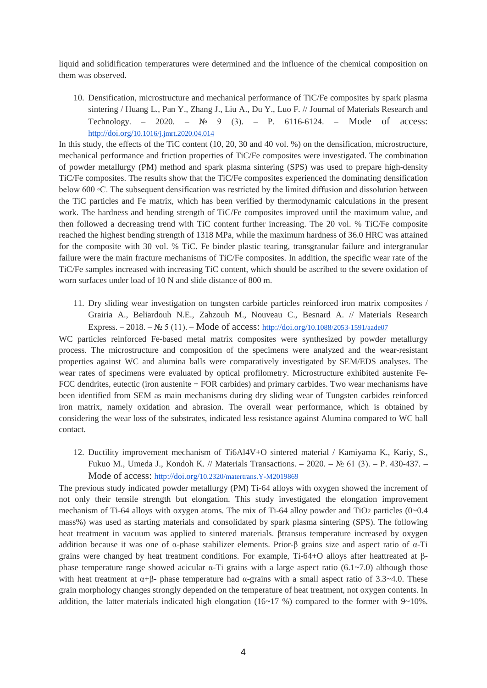liquid and solidification temperatures were determined and the influence of the chemical composition on them was observed.

10. Densification, microstructure and mechanical performance of TiC/Fe composites by spark plasma sintering / Huang L., Pan Y., Zhang J., Liu A., Du Y., Luo F. // Journal of Materials Research and Technology. – 2020. – № 9 (3). – P. 6116-6124. – Mode of access: <http://doi.org/10.1016/j.jmrt.2020.04.014>

In this study, the effects of the TiC content (10, 20, 30 and 40 vol. %) on the densification, microstructure, mechanical performance and friction properties of TiC/Fe composites were investigated. The combination of powder metallurgy (PM) method and spark plasma sintering (SPS) was used to prepare high-density TiC/Fe composites. The results show that the TiC/Fe composites experienced the dominating densification below 600 ◦C. The subsequent densification was restricted by the limited diffusion and dissolution between the TiC particles and Fe matrix, which has been verified by thermodynamic calculations in the present work. The hardness and bending strength of TiC/Fe composites improved until the maximum value, and then followed a decreasing trend with TiC content further increasing. The 20 vol. % TiC/Fe composite reached the highest bending strength of 1318 MPa, while the maximum hardness of 36.0 HRC was attained for the composite with 30 vol. % TiC. Fe binder plastic tearing, transgranular failure and intergranular failure were the main fracture mechanisms of TiC/Fe composites. In addition, the specific wear rate of the TiC/Fe samples increased with increasing TiC content, which should be ascribed to the severe oxidation of worn surfaces under load of 10 N and slide distance of 800 m.

11. Dry sliding wear investigation on tungsten carbide particles reinforced iron matrix composites / Grairia A., Beliardouh N.E., Zahzouh M., Nouveau C., Besnard A. // Materials Research Express. – 2018. – № 5 (11). – Mode of access:<http://doi.org/10.1088/2053-1591/aade07>

WC particles reinforced Fe-based metal matrix composites were synthesized by powder metallurgy process. The microstructure and composition of the specimens were analyzed and the wear-resistant properties against WC and alumina balls were comparatively investigated by SEM/EDS analyses. The wear rates of specimens were evaluated by optical profilometry. Microstructure exhibited austenite Fe-FCC dendrites, eutectic (iron austenite + FOR carbides) and primary carbides. Two wear mechanisms have been identified from SEM as main mechanisms during dry sliding wear of Tungsten carbides reinforced iron matrix, namely oxidation and abrasion. The overall wear performance, which is obtained by considering the wear loss of the substrates, indicated less resistance against Alumina compared to WC ball contact.

12. Ductility improvement mechanism of Ti6Al4V+O sintered material / Kamiyama K., Kariy, S., Fukuo M., Umeda J., Kondoh K. // Materials Transactions. – 2020. – № 61 (3). – Р. 430-437. – Mode of access:<http://doi.org/10.2320/matertrans.Y-M2019869>

The previous study indicated powder metallurgy (PM) Ti-64 alloys with oxygen showed the increment of not only their tensile strength but elongation. This study investigated the elongation improvement mechanism of Ti-64 alloys with oxygen atoms. The mix of Ti-64 alloy powder and TiO2 particles (0~0.4 mass%) was used as starting materials and consolidated by spark plasma sintering (SPS). The following heat treatment in vacuum was applied to sintered materials. βtransus temperature increased by oxygen addition because it was one of  $\alpha$ -phase stabilizer elements. Prior-β grains size and aspect ratio of  $\alpha$ -Ti grains were changed by heat treatment conditions. For example, Ti-64+O alloys after heattreated at βphase temperature range showed acicular α-Ti grains with a large aspect ratio  $(6.1~7.0)$  although those with heat treatment at  $\alpha+\beta$ - phase temperature had  $\alpha$ -grains with a small aspect ratio of 3.3~4.0. These grain morphology changes strongly depended on the temperature of heat treatment, not oxygen contents. In addition, the latter materials indicated high elongation (16~17 %) compared to the former with  $9~10\%$ .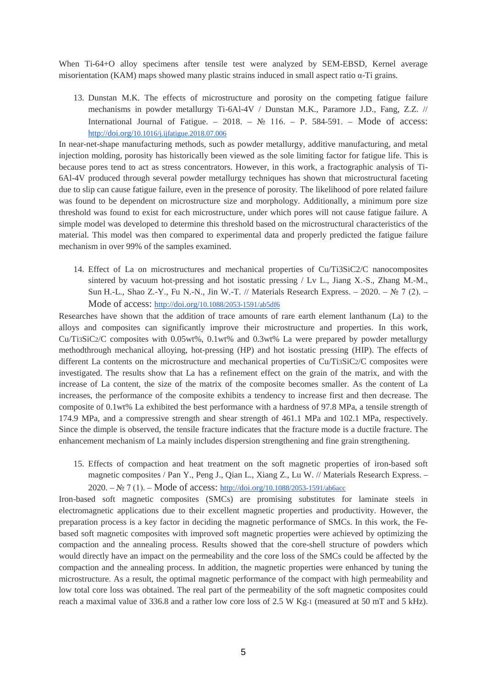When Ti-64+O alloy specimens after tensile test were analyzed by SEM-EBSD, Kernel average misorientation (KAM) maps showed many plastic strains induced in small aspect ratio  $\alpha$ -Ti grains.

13. Dunstan M.K. The effects of microstructure and porosity on the competing fatigue failure mechanisms in powder metallurgy Ti-6Al-4V / Dunstan M.K., Paramore J.D., Fang, Z.Z. // International Journal of Fatigue. – 2018. –  $\mathcal{N}_2$  116. – P. 584-591. – Mode of access: <http://doi.org/10.1016/j.ijfatigue.2018.07.006>

In near-net-shape manufacturing methods, such as powder metallurgy, additive manufacturing, and metal injection molding, porosity has historically been viewed as the sole limiting factor for fatigue life. This is because pores tend to act as stress concentrators. However, in this work, a fractographic analysis of Ti-6Al-4V produced through several powder metallurgy techniques has shown that microstructural faceting due to slip can cause fatigue failure, even in the presence of porosity. The likelihood of pore related failure was found to be dependent on microstructure size and morphology. Additionally, a minimum pore size threshold was found to exist for each microstructure, under which pores will not cause fatigue failure. A simple model was developed to determine this threshold based on the microstructural characteristics of the material. This model was then compared to experimental data and properly predicted the fatigue failure mechanism in over 99% of the samples examined.

14. Effect of La on microstructures and mechanical properties of Cu/Ti3SiC2/C nanocomposites sintered by vacuum hot-pressing and hot isostatic pressing / Lv L., Jiang X.-S., Zhang M.-M., Sun H.-L., Shao Z.-Y., Fu N.-N., Jin W.-T. // Materials Research Express. – 2020. – № 7 (2). – Mode of access:<http://doi.org/10.1088/2053-1591/ab5df6>

Researches have shown that the addition of trace amounts of rare earth element lanthanum (La) to the alloys and composites can significantly improve their microstructure and properties. In this work, Cu/Ti3SiC2/C composites with 0.05wt%, 0.1wt% and 0.3wt% La were prepared by powder metallurgy methodthrough mechanical alloying, hot-pressing (HP) and hot isostatic pressing (HIP). The effects of different La contents on the microstructure and mechanical properties of Cu/Ti3SiC2/C composites were investigated. The results show that La has a refinement effect on the grain of the matrix, and with the increase of La content, the size of the matrix of the composite becomes smaller. As the content of La increases, the performance of the composite exhibits a tendency to increase first and then decrease. The composite of 0.1wt% La exhibited the best performance with a hardness of 97.8 MPa, a tensile strength of 174.9 MPa, and a compressive strength and shear strength of 461.1 MPa and 102.1 MPa, respectively. Since the dimple is observed, the tensile fracture indicates that the fracture mode is a ductile fracture. The enhancement mechanism of La mainly includes dispersion strengthening and fine grain strengthening.

15. Effects of compaction and heat treatment on the soft magnetic properties of iron-based soft magnetic composites / Pan Y., Peng J., Qian L., Xiang Z., Lu W. // Materials Research Express. – 2020. – № 7 (1). – Mode of access:<http://doi.org/10.1088/2053-1591/ab6acc>

Iron-based soft magnetic composites (SMCs) are promising substitutes for laminate steels in electromagnetic applications due to their excellent magnetic properties and productivity. However, the preparation process is a key factor in deciding the magnetic performance of SMCs. In this work, the Febased soft magnetic composites with improved soft magnetic properties were achieved by optimizing the compaction and the annealing process. Results showed that the core-shell structure of powders which would directly have an impact on the permeability and the core loss of the SMCs could be affected by the compaction and the annealing process. In addition, the magnetic properties were enhanced by tuning the microstructure. As a result, the optimal magnetic performance of the compact with high permeability and low total core loss was obtained. The real part of the permeability of the soft magnetic composites could reach a maximal value of 336.8 and a rather low core loss of 2.5 W Kg-1 (measured at 50 mT and 5 kHz).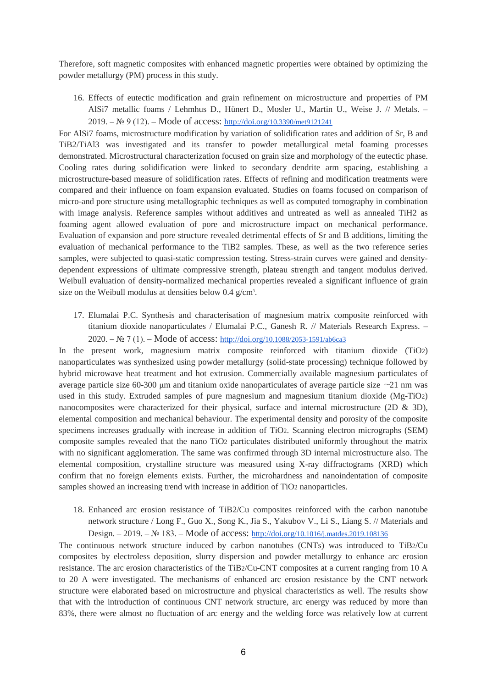Therefore, soft magnetic composites with enhanced magnetic properties were obtained by optimizing the powder metallurgy (PM) process in this study.

16. Effects of eutectic modification and grain refinement on microstructure and properties of PM AlSi7 metallic foams / Lehmhus D., Hünert D., Mosler U., Martin U., Weise J. // Metals. – 2019. – № 9 (12). – Mode of access:<http://doi.org/10.3390/met9121241>

For AlSi7 foams, microstructure modification by variation of solidification rates and addition of Sr, B and TiB2/TiAl3 was investigated and its transfer to powder metallurgical metal foaming processes demonstrated. Microstructural characterization focused on grain size and morphology of the eutectic phase. Cooling rates during solidification were linked to secondary dendrite arm spacing, establishing a microstructure-based measure of solidification rates. Effects of refining and modification treatments were compared and their influence on foam expansion evaluated. Studies on foams focused on comparison of micro-and pore structure using metallographic techniques as well as computed tomography in combination with image analysis. Reference samples without additives and untreated as well as annealed TiH2 as foaming agent allowed evaluation of pore and microstructure impact on mechanical performance. Evaluation of expansion and pore structure revealed detrimental effects of Sr and B additions, limiting the evaluation of mechanical performance to the TiB2 samples. These, as well as the two reference series samples, were subjected to quasi-static compression testing. Stress-strain curves were gained and densitydependent expressions of ultimate compressive strength, plateau strength and tangent modulus derived. Weibull evaluation of density-normalized mechanical properties revealed a significant influence of grain size on the Weibull modulus at densities below  $0.4 \text{ g/cm}^3$ .

17. Elumalai P.C. Synthesis and characterisation of magnesium matrix composite reinforced with titanium dioxide nanoparticulates / Elumalai P.C., Ganesh R. // Materials Research Express. – 2020. – № 7 (1). – Mode of access:<http://doi.org/10.1088/2053-1591/ab6ca3>

In the present work, magnesium matrix composite reinforced with titanium dioxide (TiO2) nanoparticulates was synthesized using powder metallurgy (solid-state processing) technique followed by hybrid microwave heat treatment and hot extrusion. Commercially available magnesium particulates of average particle size 60-300 μm and titanium oxide nanoparticulates of average particle size ∼21 nm was used in this study. Extruded samples of pure magnesium and magnesium titanium dioxide (Mg-TiO2) nanocomposites were characterized for their physical, surface and internal microstructure (2D & 3D), elemental composition and mechanical behaviour. The experimental density and porosity of the composite specimens increases gradually with increase in addition of TiO2. Scanning electron micrographs (SEM) composite samples revealed that the nano TiO2 particulates distributed uniformly throughout the matrix with no significant agglomeration. The same was confirmed through 3D internal microstructure also. The elemental composition, crystalline structure was measured using X-ray diffractograms (XRD) which confirm that no foreign elements exists. Further, the microhardness and nanoindentation of composite samples showed an increasing trend with increase in addition of TiO2 nanoparticles.

18. Enhanced arc erosion resistance of TiB2/Cu composites reinforced with the carbon nanotube network structure / Long F., Guo X., Song K., Jia S., Yakubov V., Li S., Liang S. // Materials and Design. – 2019. – № 183. – Mode of access:<http://doi.org/10.1016/j.matdes.2019.108136>

The continuous network structure induced by carbon nanotubes (CNTs) was introduced to TiB2/Cu composites by electroless deposition, slurry dispersion and powder metallurgy to enhance arc erosion resistance. The arc erosion characteristics of the TiB2/Cu-CNT composites at a current ranging from 10 A to 20 A were investigated. The mechanisms of enhanced arc erosion resistance by the CNT network structure were elaborated based on microstructure and physical characteristics as well. The results show that with the introduction of continuous CNT network structure, arc energy was reduced by more than 83%, there were almost no fluctuation of arc energy and the welding force was relatively low at current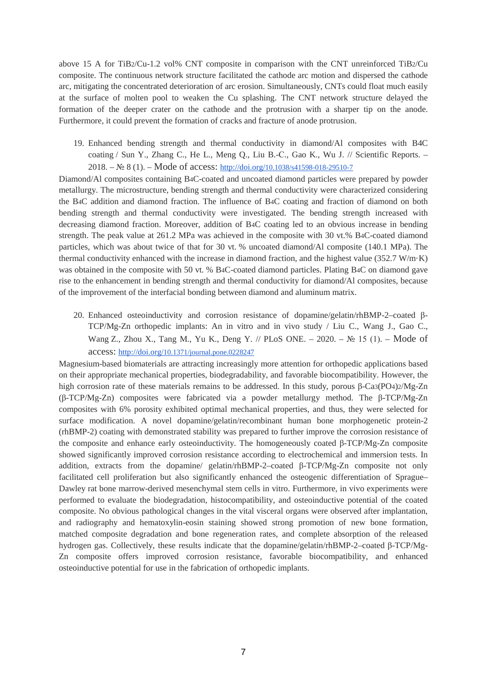above 15 A for TiB2/Cu-1.2 vol% CNT composite in comparison with the CNT unreinforced TiB2/Cu composite. The continuous network structure facilitated the cathode arc motion and dispersed the cathode arc, mitigating the concentrated deterioration of arc erosion. Simultaneously, CNTs could float much easily at the surface of molten pool to weaken the Cu splashing. The CNT network structure delayed the formation of the deeper crater on the cathode and the protrusion with a sharper tip on the anode. Furthermore, it could prevent the formation of cracks and fracture of anode protrusion.

19. Enhanced bending strength and thermal conductivity in diamond/Al composites with B4C coating / Sun Y., Zhang C., He L., Meng Q., Liu B.-С., Gao K., Wu J. // Scientific Reports. – 2018. – № 8 (1). – Mode of access:<http://doi.org/10.1038/s41598-018-29510-7>

Diamond/Al composites containing B4C-coated and uncoated diamond particles were prepared by powder metallurgy. The microstructure, bending strength and thermal conductivity were characterized considering the B4C addition and diamond fraction. The influence of B4C coating and fraction of diamond on both bending strength and thermal conductivity were investigated. The bending strength increased with decreasing diamond fraction. Moreover, addition of B4C coating led to an obvious increase in bending strength. The peak value at 261.2 MPa was achieved in the composite with 30 vt.% B4C-coated diamond particles, which was about twice of that for 30 vt. % uncoated diamond/Al composite (140.1 MPa). The thermal conductivity enhanced with the increase in diamond fraction, and the highest value (352.7 W/m·K) was obtained in the composite with 50 vt. % B4C-coated diamond particles. Plating B4C on diamond gave rise to the enhancement in bending strength and thermal conductivity for diamond/Al composites, because of the improvement of the interfacial bonding between diamond and aluminum matrix.

20. Enhanced osteoinductivity and corrosion resistance of dopamine/gelatin/rhBMP-2–coated β-TCP/Mg-Zn orthopedic implants: An in vitro and in vivo study / Liu C., Wang J., Gao C., Wang Z., Zhou X., Tang M., Yu K., Deng Y. // PLoS ONE.  $-2020$ .  $-\mathcal{N}_2$  15 (1).  $-\text{Mode of}$ access:<http://doi.org/10.1371/journal.pone.0228247>

Magnesium-based biomaterials are attracting increasingly more attention for orthopedic applications based on their appropriate mechanical properties, biodegradability, and favorable biocompatibility. However, the high corrosion rate of these materials remains to be addressed. In this study, porous β-Ca3(PO4)2/Mg-Zn (β-TCP/Mg-Zn) composites were fabricated via a powder metallurgy method. The β-TCP/Mg-Zn composites with 6% porosity exhibited optimal mechanical properties, and thus, they were selected for surface modification. A novel dopamine/gelatin/recombinant human bone morphogenetic protein-2 (rhBMP-2) coating with demonstrated stability was prepared to further improve the corrosion resistance of the composite and enhance early osteoinductivity. The homogeneously coated β-TCP/Mg-Zn composite showed significantly improved corrosion resistance according to electrochemical and immersion tests. In addition, extracts from the dopamine/ gelatin/rhBMP-2–coated β-TCP/Mg-Zn composite not only facilitated cell proliferation but also significantly enhanced the osteogenic differentiation of Sprague– Dawley rat bone marrow-derived mesenchymal stem cells in vitro. Furthermore, in vivo experiments were performed to evaluate the biodegradation, histocompatibility, and osteoinductive potential of the coated composite. No obvious pathological changes in the vital visceral organs were observed after implantation, and radiography and hematoxylin-eosin staining showed strong promotion of new bone formation, matched composite degradation and bone regeneration rates, and complete absorption of the released hydrogen gas. Collectively, these results indicate that the dopamine/gelatin/rhBMP-2–coated β-TCP/Mg-Zn composite offers improved corrosion resistance, favorable biocompatibility, and enhanced osteoinductive potential for use in the fabrication of orthopedic implants.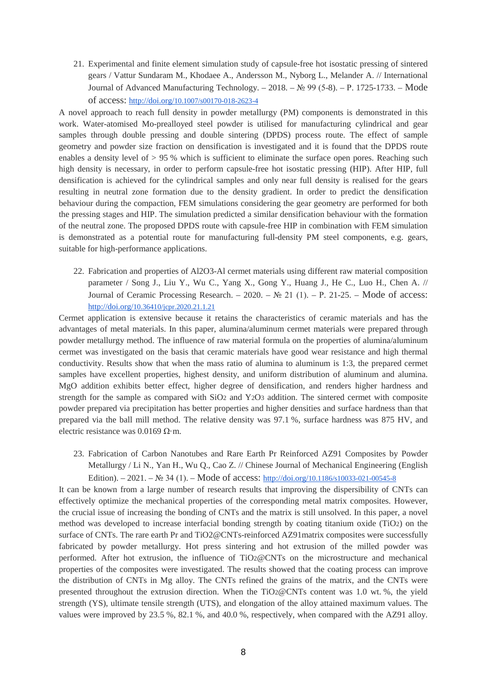21. Experimental and finite element simulation study of capsule-free hot isostatic pressing of sintered gears / Vattur Sundaram M., Khodaee A., Andersson M., Nyborg L., Melander A. // International Journal of Advanced Manufacturing Technology. – 2018. – № 99 (5-8). – Р. 1725-1733. – Mode of access:<http://doi.org/10.1007/s00170-018-2623-4>

A novel approach to reach full density in powder metallurgy (PM) components is demonstrated in this work. Water-atomised Mo-prealloyed steel powder is utilised for manufacturing cylindrical and gear samples through double pressing and double sintering (DPDS) process route. The effect of sample geometry and powder size fraction on densification is investigated and it is found that the DPDS route enables a density level of  $> 95\%$  which is sufficient to eliminate the surface open pores. Reaching such high density is necessary, in order to perform capsule-free hot isostatic pressing (HIP). After HIP, full densification is achieved for the cylindrical samples and only near full density is realised for the gears resulting in neutral zone formation due to the density gradient. In order to predict the densification behaviour during the compaction, FEM simulations considering the gear geometry are performed for both the pressing stages and HIP. The simulation predicted a similar densification behaviour with the formation of the neutral zone. The proposed DPDS route with capsule-free HIP in combination with FEM simulation is demonstrated as a potential route for manufacturing full-density PM steel components, e.g. gears, suitable for high-performance applications.

22. Fabrication and properties of Al2O3-Al cermet materials using different raw material composition parameter / Song J., Liu Y., Wu C., Yang X., Gong Y., Huang J., He C., Luo H., Chen A. // Journal of Ceramic Processing Research. – 2020. – № 21 (1). – P. 21-25. – Mode of access: <http://doi.org/10.36410/jcpr.2020.21.1.21>

Cermet application is extensive because it retains the characteristics of ceramic materials and has the advantages of metal materials. In this paper, alumina/aluminum cermet materials were prepared through powder metallurgy method. The influence of raw material formula on the properties of alumina/aluminum cermet was investigated on the basis that ceramic materials have good wear resistance and high thermal conductivity. Results show that when the mass ratio of alumina to aluminum is 1:3, the prepared cermet samples have excellent properties, highest density, and uniform distribution of aluminum and alumina. MgO addition exhibits better effect, higher degree of densification, and renders higher hardness and strength for the sample as compared with SiO2 and Y2O3 addition. The sintered cermet with composite powder prepared via precipitation has better properties and higher densities and surface hardness than that prepared via the ball mill method. The relative density was 97.1 %, surface hardness was 875 HV, and electric resistance was  $0.0169 \Omega$ ·m.

23. Fabrication of Carbon Nanotubes and Rare Earth Pr Reinforced AZ91 Composites by Powder Metallurgy / Li N., Yan H., Wu Q., Cao Z. // Chinese Journal of Mechanical Engineering (English Edition). – 2021. – № 34 (1). – Mode of access:<http://doi.org/10.1186/s10033-021-00545-8>

It can be known from a large number of research results that improving the dispersibility of CNTs can effectively optimize the mechanical properties of the corresponding metal matrix composites. However, the crucial issue of increasing the bonding of CNTs and the matrix is still unsolved. In this paper, a novel method was developed to increase interfacial bonding strength by coating titanium oxide (TiO2) on the surface of CNTs. The rare earth Pr and TiO2@CNTs-reinforced AZ91matrix composites were successfully fabricated by powder metallurgy. Hot press sintering and hot extrusion of the milled powder was performed. After hot extrusion, the influence of TiO2@CNTs on the microstructure and mechanical properties of the composites were investigated. The results showed that the coating process can improve the distribution of CNTs in Mg alloy. The CNTs refined the grains of the matrix, and the CNTs were presented throughout the extrusion direction. When the TiO2@CNTs content was 1.0 wt. %, the yield strength (YS), ultimate tensile strength (UTS), and elongation of the alloy attained maximum values. The values were improved by 23.5 %, 82.1 %, and 40.0 %, respectively, when compared with the AZ91 alloy.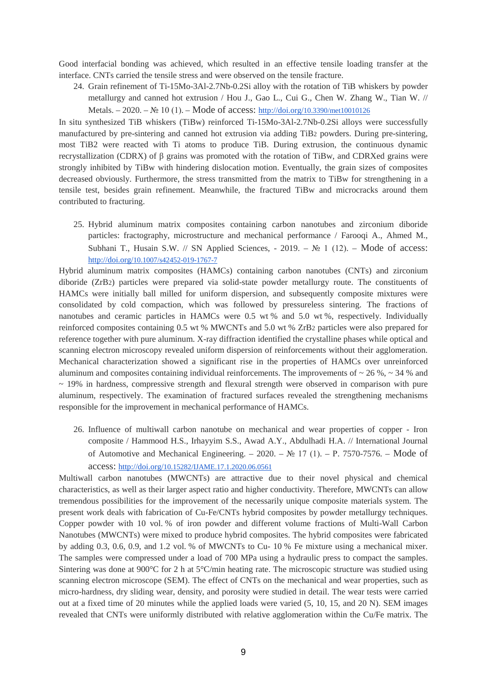Good interfacial bonding was achieved, which resulted in an effective tensile loading transfer at the interface. CNTs carried the tensile stress and were observed on the tensile fracture.

24. Grain refinement of Ti-15Mo-3Al-2.7Nb-0.2Si alloy with the rotation of TiB whiskers by powder metallurgy and canned hot extrusion / Hou J., Gao L., Cui G., Chen W. Zhang W., Tian W. // Metals. – 2020. – № 10 (1). – Mode of access:<http://doi.org/10.3390/met10010126>

In situ synthesized TiB whiskers (TiBw) reinforced Ti-15Mo-3Al-2.7Nb-0.2Si alloys were successfully manufactured by pre-sintering and canned hot extrusion via adding TiB2 powders. During pre-sintering, most TiB2 were reacted with Ti atoms to produce TiB. During extrusion, the continuous dynamic recrystallization (CDRX) of β grains was promoted with the rotation of TiBw, and CDRXed grains were strongly inhibited by TiBw with hindering dislocation motion. Eventually, the grain sizes of composites decreased obviously. Furthermore, the stress transmitted from the matrix to TiBw for strengthening in a tensile test, besides grain refinement. Meanwhile, the fractured TiBw and microcracks around them contributed to fracturing.

25. Hybrid aluminum matrix composites containing carbon nanotubes and zirconium diboride particles: fractography, microstructure and mechanical performance / Farooqi A., Ahmed M., Subhani T., Husain S.W. // SN Applied Sciences, - 2019. –  $\mathbb{N}_{2}$  1 (12). – Mode of access: <http://doi.org/10.1007/s42452-019-1767-7>

Hybrid aluminum matrix composites (HAMCs) containing carbon nanotubes (CNTs) and zirconium diboride (ZrB2) particles were prepared via solid-state powder metallurgy route. The constituents of HAMCs were initially ball milled for uniform dispersion, and subsequently composite mixtures were consolidated by cold compaction, which was followed by pressureless sintering. The fractions of nanotubes and ceramic particles in HAMCs were 0.5 wt % and 5.0 wt %, respectively. Individually reinforced composites containing 0.5 wt % MWCNTs and 5.0 wt % ZrB2 particles were also prepared for reference together with pure aluminum. X-ray diffraction identified the crystalline phases while optical and scanning electron microscopy revealed uniform dispersion of reinforcements without their agglomeration. Mechanical characterization showed a significant rise in the properties of HAMCs over unreinforced aluminum and composites containing individual reinforcements. The improvements of  $\sim$  26 %,  $\sim$  34 % and  $\sim$  19% in hardness, compressive strength and flexural strength were observed in comparison with pure aluminum, respectively. The examination of fractured surfaces revealed the strengthening mechanisms responsible for the improvement in mechanical performance of HAMCs.

26. Influence of multiwall carbon nanotube on mechanical and wear properties of copper - Iron composite / Hammood H.S., Irhayyim S.S., Awad A.Y., Abdulhadi H.A. // International Journal of Automotive and Mechanical Engineering. – 2020. – № 17 (1). – P. 7570-7576. – Mode of access:<http://doi.org/10.15282/IJAME.17.1.2020.06.0561>

Multiwall carbon nanotubes (MWCNTs) are attractive due to their novel physical and chemical characteristics, as well as their larger aspect ratio and higher conductivity. Therefore, MWCNTs can allow tremendous possibilities for the improvement of the necessarily unique composite materials system. The present work deals with fabrication of Cu-Fe/CNTs hybrid composites by powder metallurgy techniques. Copper powder with 10 vol. % of iron powder and different volume fractions of Multi-Wall Carbon Nanotubes (MWCNTs) were mixed to produce hybrid composites. The hybrid composites were fabricated by adding 0.3, 0.6, 0.9, and 1.2 vol. % of MWCNTs to Cu- 10 % Fe mixture using a mechanical mixer. The samples were compressed under a load of 700 MPa using a hydraulic press to compact the samples. Sintering was done at 900°C for 2 h at 5°C/min heating rate. The microscopic structure was studied using scanning electron microscope (SEM). The effect of CNTs on the mechanical and wear properties, such as micro-hardness, dry sliding wear, density, and porosity were studied in detail. The wear tests were carried out at a fixed time of 20 minutes while the applied loads were varied (5, 10, 15, and 20 N). SEM images revealed that CNTs were uniformly distributed with relative agglomeration within the Cu/Fe matrix. The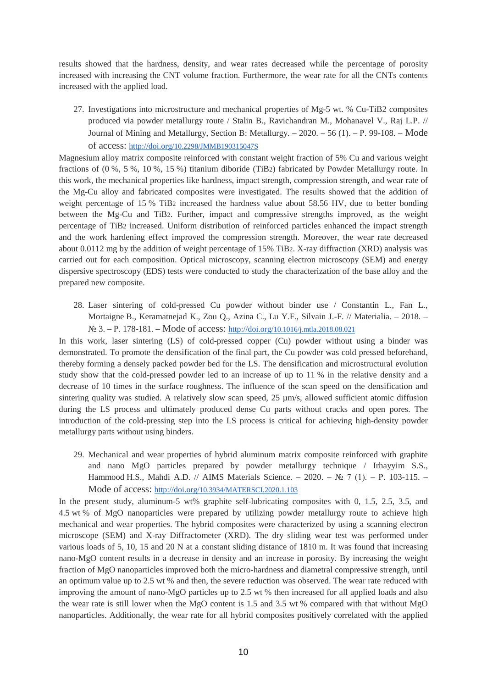results showed that the hardness, density, and wear rates decreased while the percentage of porosity increased with increasing the CNT volume fraction. Furthermore, the wear rate for all the CNTs contents increased with the applied load.

27. Investigations into microstructure and mechanical properties of Mg-5 wt. % Cu-TiB2 composites produced via powder metallurgy route / Stalin B., Ravichandran M., Mohanavel V., Raj L.P. // Journal of Mining and Metallurgy, Section B: Metallurgy. – 2020. – 56 (1). – Р. 99-108. – Mode of access:<http://doi.org/10.2298/JMMB190315047S>

Magnesium alloy matrix composite reinforced with constant weight fraction of 5% Cu and various weight fractions of (0 %, 5 %, 10 %, 15 %) titanium diboride (TiB2) fabricated by Powder Metallurgy route. In this work, the mechanical properties like hardness, impact strength, compression strength, and wear rate of the Mg-Cu alloy and fabricated composites were investigated. The results showed that the addition of weight percentage of 15 % TiB2 increased the hardness value about 58.56 HV, due to better bonding between the Mg-Cu and TiB2. Further, impact and compressive strengths improved, as the weight percentage of TiB2 increased. Uniform distribution of reinforced particles enhanced the impact strength and the work hardening effect improved the compression strength. Moreover, the wear rate decreased about 0.0112 mg by the addition of weight percentage of 15% TiB2. X-ray diffraction (XRD) analysis was carried out for each composition. Optical microscopy, scanning electron microscopy (SEM) and energy dispersive spectroscopy (EDS) tests were conducted to study the characterization of the base alloy and the prepared new composite.

28. Laser sintering of cold-pressed Cu powder without binder use / Constantin L., Fan L., Mortaigne B., Keramatnejad K., Zou Q., Azina C., Lu Y.F., Silvain J.-F. // Materialia. – 2018. – № 3. – Р. 178-181. – Mode of access:<http://doi.org/10.1016/j.mtla.2018.08.021>

In this work, laser sintering (LS) of cold-pressed copper (Cu) powder without using a binder was demonstrated. To promote the densification of the final part, the Cu powder was cold pressed beforehand, thereby forming a densely packed powder bed for the LS. The densification and microstructural evolution study show that the cold-pressed powder led to an increase of up to 11 % in the relative density and a decrease of 10 times in the surface roughness. The influence of the scan speed on the densification and sintering quality was studied. A relatively slow scan speed, 25  $\mu$ m/s, allowed sufficient atomic diffusion during the LS process and ultimately produced dense Cu parts without cracks and open pores. The introduction of the cold-pressing step into the LS process is critical for achieving high-density powder metallurgy parts without using binders.

29. Mechanical and wear properties of hybrid aluminum matrix composite reinforced with graphite and nano MgO particles prepared by powder metallurgy technique / Irhayyim S.S., Hammood H.S., Mahdi A.D. // AIMS Materials Science. – 2020. – № 7 (1). – Р. 103-115. – Mode of access:<http://doi.org/10.3934/MATERSCI.2020.1.103>

In the present study, aluminum-5 wt% graphite self-lubricating composites with 0, 1.5, 2.5, 3.5, and 4.5 wt % of MgO nanoparticles were prepared by utilizing powder metallurgy route to achieve high mechanical and wear properties. The hybrid composites were characterized by using a scanning electron microscope (SEM) and X-ray Diffractometer (XRD). The dry sliding wear test was performed under various loads of 5, 10, 15 and 20 N at a constant sliding distance of 1810 m. It was found that increasing nano-MgO content results in a decrease in density and an increase in porosity. By increasing the weight fraction of MgO nanoparticles improved both the micro-hardness and diametral compressive strength, until an optimum value up to 2.5 wt % and then, the severe reduction was observed. The wear rate reduced with improving the amount of nano-MgO particles up to 2.5 wt % then increased for all applied loads and also the wear rate is still lower when the MgO content is 1.5 and 3.5 wt % compared with that without MgO nanoparticles. Additionally, the wear rate for all hybrid composites positively correlated with the applied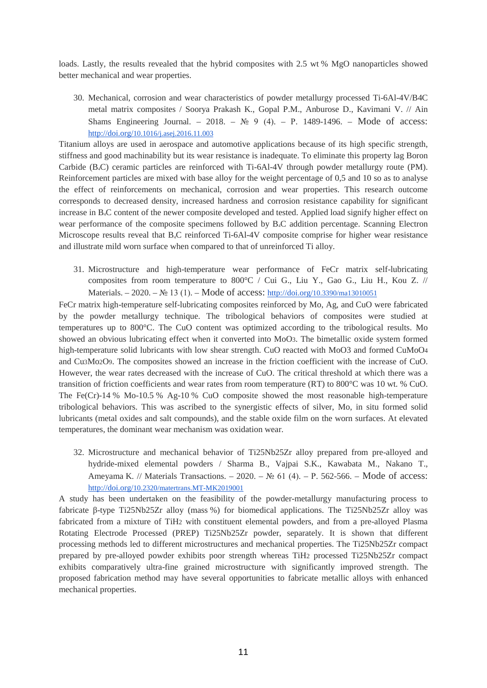loads. Lastly, the results revealed that the hybrid composites with 2.5 wt % MgO nanoparticles showed better mechanical and wear properties.

30. Mechanical, corrosion and wear characteristics of powder metallurgy processed Ti-6Al-4V/B4C metal matrix composites / Soorya Prakash K., Gopal P.M., Anburose D., Kavimani V. // Ain Shams Engineering Journal. – 2018. –  $\mathcal{N}_2$  9 (4). – P. 1489-1496. – Mode of access: <http://doi.org/10.1016/j.asej.2016.11.003>

Titanium alloys are used in aerospace and automotive applications because of its high specific strength, stiffness and good machinability but its wear resistance is inadequate. To eliminate this property lag Boron Carbide (B4C) ceramic particles are reinforced with Ti-6Al-4V through powder metallurgy route (PM). Reinforcement particles are mixed with base alloy for the weight percentage of 0,5 and 10 so as to analyse the effect of reinforcements on mechanical, corrosion and wear properties. This research outcome corresponds to decreased density, increased hardness and corrosion resistance capability for significant increase in B4C content of the newer composite developed and tested. Applied load signify higher effect on wear performance of the composite specimens followed by B4C addition percentage. Scanning Electron Microscope results reveal that B<sub>4</sub>C reinforced Ti-6Al-4V composite comprise for higher wear resistance and illustrate mild worn surface when compared to that of unreinforced Ti alloy.

31. Microstructure and high-temperature wear performance of FeCr matrix self-lubricating composites from room temperature to 800°C / Cui G., Liu Y., Gao G., Liu H., Kou Z. // Materials. – 2020. – № 13 (1). – Mode of access:<http://doi.org/10.3390/ma13010051>

FeCr matrix high-temperature self-lubricating composites reinforced by Mo, Ag, and CuO were fabricated by the powder metallurgy technique. The tribological behaviors of composites were studied at temperatures up to 800°C. The CuO content was optimized according to the tribological results. Mo showed an obvious lubricating effect when it converted into MoO3. The bimetallic oxide system formed high-temperature solid lubricants with low shear strength. CuO reacted with MoO3 and formed CuMoO4 and Cu3Mo2O9. The composites showed an increase in the friction coefficient with the increase of CuO. However, the wear rates decreased with the increase of CuO. The critical threshold at which there was a transition of friction coefficients and wear rates from room temperature (RT) to 800°C was 10 wt. % CuO. The Fe(Cr)-14 % Mo-10.5 % Ag-10 % CuO composite showed the most reasonable high-temperature tribological behaviors. This was ascribed to the synergistic effects of silver, Mo, in situ formed solid lubricants (metal oxides and salt compounds), and the stable oxide film on the worn surfaces. At elevated temperatures, the dominant wear mechanism was oxidation wear.

32. Microstructure and mechanical behavior of Ti25Nb25Zr alloy prepared from pre-alloyed and hydride-mixed elemental powders / Sharma B., Vajpai S.K., Kawabata M., Nakano T., Ameyama K. // Materials Transactions. – 2020. – № 61 (4). – P. 562-566. – Mode of access: <http://doi.org/10.2320/matertrans.MT-MK2019001>

A study has been undertaken on the feasibility of the powder-metallurgy manufacturing process to fabricate β-type Ti25Nb25Zr alloy (mass %) for biomedical applications. The Ti25Nb25Zr alloy was fabricated from a mixture of TiH2 with constituent elemental powders, and from a pre-alloyed Plasma Rotating Electrode Processed (PREP) Ti25Nb25Zr powder, separately. It is shown that different processing methods led to different microstructures and mechanical properties. The Ti25Nb25Zr compact prepared by pre-alloyed powder exhibits poor strength whereas TiH2 processed Ti25Nb25Zr compact exhibits comparatively ultra-fine grained microstructure with significantly improved strength. The proposed fabrication method may have several opportunities to fabricate metallic alloys with enhanced mechanical properties.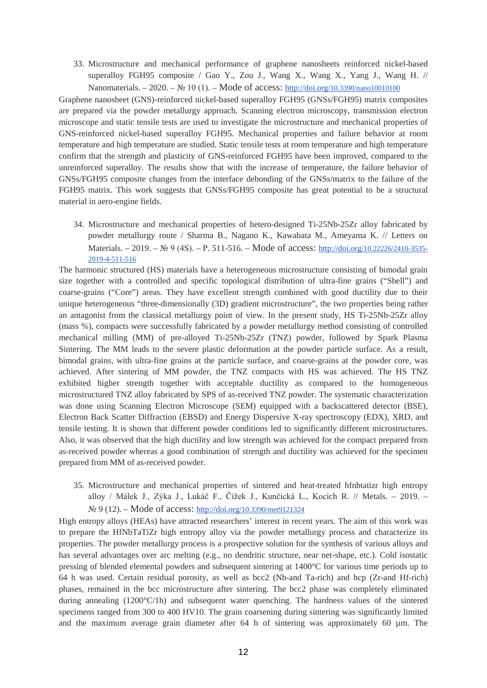33. Microstructure and mechanical performance of graphene nanosheets reinforced nickel-based superalloy FGH95 composite / Gao Y., Zou J., Wang X., Wang X., Yang J., Wang H. // Nanomaterials. – 2020. – № 10 (1). – Mode of access:<http://doi.org/10.3390/nano10010100>

Graphene nanosheet (GNS)-reinforced nickel-based superalloy FGH95 (GNSs/FGH95) matrix composites are prepared via the powder metallurgy approach. Scanning electron microscopy, transmission electron microscope and static tensile tests are used to investigate the microstructure and mechanical properties of GNS-reinforced nickel-based superalloy FGH95. Mechanical properties and failure behavior at room temperature and high temperature are studied. Static tensile tests at room temperature and high temperature confirm that the strength and plasticity of GNS-reinforced FGH95 have been improved, compared to the unreinforced superalloy. The results show that with the increase of temperature, the failure behavior of GNSs/FGH95 composite changes from the interface debonding of the GNSs/matrix to the failure of the FGH95 matrix. This work suggests that GNSs/FGH95 composite has great potential to be a structural material in aero-engine fields.

34. Microstructure and mechanical properties of hetero-designed Ti-25Nb-25Zr alloy fabricated by powder metallurgy route / Sharma B., Nagano K., Kawabata M., Ameyama K. // Letters on Materials. – 2019. – № 9 (4S). – Р. 511-516. – Mode of access: [http://doi.org/10.22226/2410-3535-](http://doi.org/10.22226/2410-3535-2019-4-511-516) 2019-4-511-516

The harmonic structured (HS) materials have a heterogeneous microstructure consisting of bimodal grain size together with a controlled and specific topological distribution of ultra-fine grains ("Shell") and coarse-grains ("Core") areas. They have excellent strength combined with good ductility due to their unique heterogeneous "three-dimensionally (3D) gradient microstructure", the two properties being rather an antagonist from the classical metallurgy point of view. In the present study, HS Ti-25Nb-25Zr alloy (mass %), compacts were successfully fabricated by a powder metallurgy method consisting of controlled mechanical milling (MM) of pre-alloyed Ti-25Nb-25Zr (TNZ) powder, followed by Spark Plasma Sintering. The MM leads to the severe plastic deformation at the powder particle surface. As a result, bimodal grains, with ultra-fine grains at the particle surface, and coarse-grains at the powder core, was achieved. After sintering of MM powder, the TNZ compacts with HS was achieved. The HS TNZ exhibited higher strength together with acceptable ductility as compared to the homogeneous microstructured TNZ alloy fabricated by SPS of as-received TNZ powder. The systematic characterization was done using Scanning Electron Microscope (SEM) equipped with a backscattered detector (BSE), Electron Back Scatter Diffraction (EBSD) and Energy Dispersive X-ray spectroscopy (EDX), XRD, and tensile testing. It is shown that different powder conditions led to significantly different microstructures. Also, it was observed that the high ductility and low strength was achieved for the compact prepared from as-received powder whereas a good combination of strength and ductility was achieved for the specimen prepared from MM of as-received powder.

35. Microstructure and mechanical properties of sintered and heat-treated hfnbtatizr high entropy alloy / Málek J., Zýka J., Lukáč F., Čížek J., Kunčická L., Kocich R. // Metals. – 2019. – № 9 (12). – Mode of access:<http://doi.org/10.3390/met9121324>

High entropy alloys (HEAs) have attracted researchers' interest in recent years. The aim of this work was to prepare the HfNbTaTiZr high entropy alloy via the powder metallurgy process and characterize its properties. The powder metallurgy process is a prospective solution for the synthesis of various alloys and has several advantages over arc melting (e.g., no dendritic structure, near net-shape, etc.). Cold isostatic pressing of blended elemental powders and subsequent sintering at 1400°C for various time periods up to 64 h was used. Certain residual porosity, as well as bcc2 (Nb-and Ta-rich) and hcp (Zr-and Hf-rich) phases, remained in the bcc microstructure after sintering. The bcc2 phase was completely eliminated during annealing (1200°C/1h) and subsequent water quenching. The hardness values of the sintered specimens ranged from 300 to 400 HV10. The grain coarsening during sintering was significantly limited and the maximum average grain diameter after 64 h of sintering was approximately 60 µm. The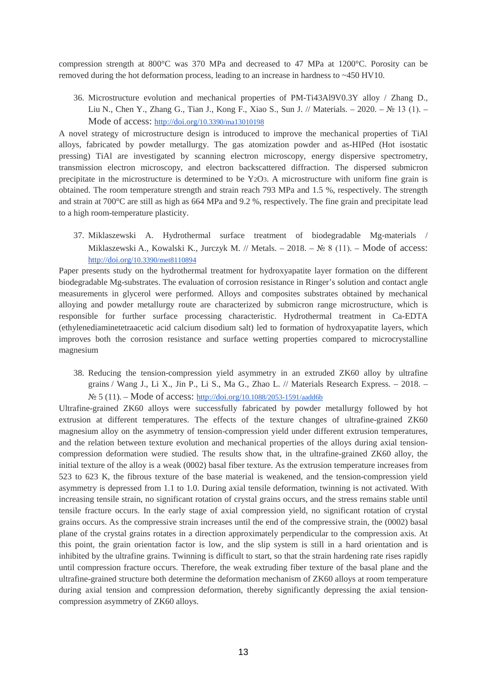compression strength at 800°C was 370 MPa and decreased to 47 MPa at 1200°C. Porosity can be removed during the hot deformation process, leading to an increase in hardness to ~450 HV10.

36. Microstructure evolution and mechanical properties of PM-Ti43Al9V0.3Y alloy / Zhang D., Liu N., Chen Y., Zhang G., Tian J., Kong F., Xiao S., Sun J. // Materials. – 2020. – № 13 (1). – Mode of access:<http://doi.org/10.3390/ma13010198>

A novel strategy of microstructure design is introduced to improve the mechanical properties of TiAl alloys, fabricated by powder metallurgy. The gas atomization powder and as-HIPed (Hot isostatic pressing) TiAl are investigated by scanning electron microscopy, energy dispersive spectrometry, transmission electron microscopy, and electron backscattered diffraction. The dispersed submicron precipitate in the microstructure is determined to be Y2O3. A microstructure with uniform fine grain is obtained. The room temperature strength and strain reach 793 MPa and 1.5 %, respectively. The strength and strain at 700°C are still as high as 664 MPa and 9.2 %, respectively. The fine grain and precipitate lead to a high room-temperature plasticity.

37. Miklaszewski A. Hydrothermal surface treatment of biodegradable Mg-materials / Miklaszewski A., Kowalski K., Jurczyk M. // Metals. – 2018. –  $\mathcal{N}$  8 (11). – Mode of access: <http://doi.org/10.3390/met8110894>

Paper presents study on the hydrothermal treatment for hydroxyapatite layer formation on the different biodegradable Mg-substrates. The evaluation of corrosion resistance in Ringer's solution and contact angle measurements in glycerol were performed. Alloys and composites substrates obtained by mechanical alloying and powder metallurgy route are characterized by submicron range microstructure, which is responsible for further surface processing characteristic. Hydrothermal treatment in Ca-EDTA (ethylenediaminetetraacetic acid calcium disodium salt) led to formation of hydroxyapatite layers, which improves both the corrosion resistance and surface wetting properties compared to microcrystalline magnesium

38. Reducing the tension-compression yield asymmetry in an extruded ZK60 alloy by ultrafine grains / Wang J., Li X., Jin P., Li S., Ma G., Zhao L. // Materials Research Express. – 2018. – № 5 (11). – Mode of access:<http://doi.org/10.1088/2053-1591/aadd6b>

Ultrafine-grained ZK60 alloys were successfully fabricated by powder metallurgy followed by hot extrusion at different temperatures. The effects of the texture changes of ultrafine-grained ZK60 magnesium alloy on the asymmetry of tension-compression yield under different extrusion temperatures, and the relation between texture evolution and mechanical properties of the alloys during axial tensioncompression deformation were studied. The results show that, in the ultrafine-grained ZK60 alloy, the initial texture of the alloy is a weak (0002) basal fiber texture. As the extrusion temperature increases from 523 to 623 K, the fibrous texture of the base material is weakened, and the tension-compression yield asymmetry is depressed from 1.1 to 1.0. During axial tensile deformation, twinning is not activated. With increasing tensile strain, no significant rotation of crystal grains occurs, and the stress remains stable until tensile fracture occurs. In the early stage of axial compression yield, no significant rotation of crystal grains occurs. As the compressive strain increases until the end of the compressive strain, the (0002) basal plane of the crystal grains rotates in a direction approximately perpendicular to the compression axis. At this point, the grain orientation factor is low, and the slip system is still in a hard orientation and is inhibited by the ultrafine grains. Twinning is difficult to start, so that the strain hardening rate rises rapidly until compression fracture occurs. Therefore, the weak extruding fiber texture of the basal plane and the ultrafine-grained structure both determine the deformation mechanism of ZK60 alloys at room temperature during axial tension and compression deformation, thereby significantly depressing the axial tensioncompression asymmetry of ZK60 alloys.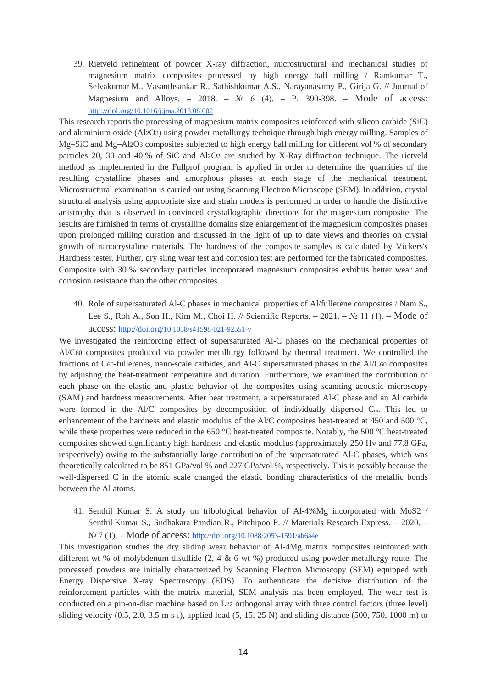39. Rietveld refinement of powder X-ray diffraction, microstructural and mechanical studies of magnesium matrix composites processed by high energy ball milling / Ramkumar T., Selvakumar M., Vasanthsankar R., Sathishkumar A.S., Narayanasamy P., Girija G. // Journal of Magnesium and Alloys. – 2018. –  $\mathbb{N}_2$  6 (4). – P. 390-398. – Mode of access: <http://doi.org/10.1016/j.jma.2018.08.002>

This research reports the processing of magnesium matrix composites reinforced with silicon carbide (SiC) and aluminium oxide (Al2O3) using powder metallurgy technique through high energy milling. Samples of Mg–SiC and Mg–Al2O3 composites subjected to high energy ball milling for different vol % of secondary particles 20, 30 and 40 % of SiC and Al2O3 are studied by X-Ray diffraction technique. The rietveld method as implemented in the Fullprof program is applied in order to determine the quantities of the resulting crystalline phases and amorphous phases at each stage of the mechanical treatment. Microstructural examination is carried out using Scanning Electron Microscope (SEM). In addition, crystal structural analysis using appropriate size and strain models is performed in order to handle the distinctive anistrophy that is observed in convinced crystallographic directions for the magnesium composite. The results are furnished in terms of crystalline domains size enlargement of the magnesium composites phases upon prolonged milling duration and discussed in the light of up to date views and theories on crystal growth of nanocrystaline materials. The hardness of the composite samples is calculated by Vickers's Hardness tester. Further, dry sling wear test and corrosion test are performed for the fabricated composites. Composite with 30 % secondary particles incorporated magnesium composites exhibits better wear and corrosion resistance than the other composites.

40. Role of supersaturated Al-C phases in mechanical properties of Al/fullerene composites / Nam S., Lee S., Roh A., Son H., Kim M., Choi H. // Scientific Reports. – 2021. –  $\mathbb{N}$  11 (1). – Mode of access:<http://doi.org/10.1038/s41598-021-92551-y>

We investigated the reinforcing effect of supersaturated Al-C phases on the mechanical properties of Al/C60 composites produced via powder metallurgy followed by thermal treatment. We controlled the fractions of C60-fullerenes, nano-scale carbides, and Al-C supersaturated phases in the Al/C60 composites by adjusting the heat-treatment temperature and duration. Furthermore, we examined the contribution of each phase on the elastic and plastic behavior of the composites using scanning acoustic microscopy (SAM) and hardness measurements. After heat treatment, a supersaturated Al-C phase and an Al carbide were formed in the Al/C composites by decomposition of individually dispersed  $C_{60}$ . This led to enhancement of the hardness and elastic modulus of the Al/C composites heat-treated at 450 and 500 °C, while these properties were reduced in the 650 °C heat-treated composite. Notably, the 500 °C heat-treated composites showed significantly high hardness and elastic modulus (approximately 250 Hv and 77.8 GPa, respectively) owing to the substantially large contribution of the supersaturated Al-C phases, which was theoretically calculated to be 851 GPa/vol % and 227 GPa/vol %, respectively. This is possibly because the well-dispersed C in the atomic scale changed the elastic bonding characteristics of the metallic bonds between the Al atoms.

41. Senthil Kumar S. A study on tribological behavior of Al-4%Mg incorporated with MoS2 / Senthil Kumar S., Sudhakara Pandian R., Pitchipoo P. // Materials Research Express. – 2020. – № 7 (1). – Mode of access:<http://doi.org/10.1088/2053-1591/ab6a4e>

This investigation studies the dry sliding wear behavior of Al-4Mg matrix composites reinforced with different wt % of molybdenum disulfide (2, 4 & 6 wt %) produced using powder metallurgy route. The processed powders are initially characterized by Scanning Electron Microscopy (SEM) equipped with Energy Dispersive X-ray Spectroscopy (EDS). To authenticate the decisive distribution of the reinforcement particles with the matrix material, SEM analysis has been employed. The wear test is conducted on a pin-on-disc machine based on L27 orthogonal array with three control factors (three level) sliding velocity  $(0.5, 2.0, 3.5 \text{ m s-1})$ , applied load  $(5, 15, 25 \text{ N})$  and sliding distance  $(500, 750, 1000 \text{ m})$  to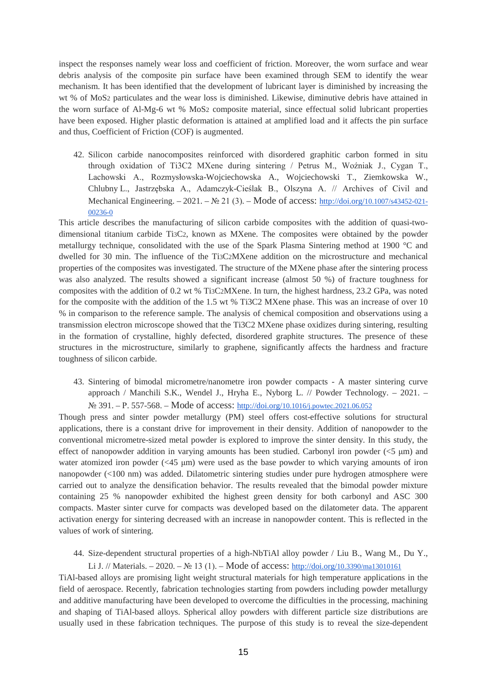inspect the responses namely wear loss and coefficient of friction. Moreover, the worn surface and wear debris analysis of the composite pin surface have been examined through SEM to identify the wear mechanism. It has been identified that the development of lubricant layer is diminished by increasing the wt % of MoS2 particulates and the wear loss is diminished. Likewise, diminutive debris have attained in the worn surface of Al-Mg-6 wt % MoS2 composite material, since effectual solid lubricant properties have been exposed. Higher plastic deformation is attained at amplified load and it affects the pin surface and thus, Coefficient of Friction (COF) is augmented.

42. Silicon carbide nanocomposites reinforced with disordered graphitic carbon formed in situ through oxidation of Ti3C2 MXene during sintering / Petrus M., Woźniak J., Cygan T., Lachowski A., Rozmysłowska-Wojciechowska A., Wojciechowski T., Ziemkowska W., Chlubny L., Jastrzębska A., Adamczyk-Cieślak B., Olszyna A. // Archives of Civil and Mechanical Engineering. – 2021. – № 21 (3). – Mode of access: [http://doi.org/10.1007/s43452-021-](http://doi.org/10.1007/s43452-021-00236-0) 00236-0

This article describes the manufacturing of silicon carbide composites with the addition of quasi-twodimensional titanium carbide Ti3C2, known as MXene. The composites were obtained by the powder metallurgy technique, consolidated with the use of the Spark Plasma Sintering method at 1900 °C and dwelled for 30 min. The influence of the Ti3C2MXene addition on the microstructure and mechanical properties of the composites was investigated. The structure of the MXene phase after the sintering process was also analyzed. The results showed a significant increase (almost 50 %) of fracture toughness for composites with the addition of 0.2 wt % Ti3C2MXene. In turn, the highest hardness, 23.2 GPa, was noted for the composite with the addition of the 1.5 wt % Ti3C2 MXene phase. This was an increase of over 10 % in comparison to the reference sample. The analysis of chemical composition and observations using a transmission electron microscope showed that the Ti3C2 MXene phase oxidizes during sintering, resulting in the formation of crystalline, highly defected, disordered graphite structures. The presence of these structures in the microstructure, similarly to graphene, significantly affects the hardness and fracture toughness of silicon carbide.

43. Sintering of bimodal micrometre/nanometre iron powder compacts - A master sintering curve approach / Manchili S.K., Wendel J., Hryha E., Nyborg L. // Powder Technology. – 2021. – № 391. – Р. 557-568. – Mode of access:<http://doi.org/10.1016/j.powtec.2021.06.052>

Though press and sinter powder metallurgy (PM) steel offers cost-effective solutions for structural applications, there is a constant drive for improvement in their density. Addition of nanopowder to the conventional micrometre-sized metal powder is explored to improve the sinter density. In this study, the effect of nanopowder addition in varying amounts has been studied. Carbonyl iron powder  $\ll$   $\leq$   $\mu$ m) and water atomized iron powder  $\ll 45 \mu m$ ) were used as the base powder to which varying amounts of iron nanopowder (<100 nm) was added. Dilatometric sintering studies under pure hydrogen atmosphere were carried out to analyze the densification behavior. The results revealed that the bimodal powder mixture containing 25 % nanopowder exhibited the highest green density for both carbonyl and ASC 300 compacts. Master sinter curve for compacts was developed based on the dilatometer data. The apparent activation energy for sintering decreased with an increase in nanopowder content. This is reflected in the values of work of sintering.

44. Size-dependent structural properties of a high-NbTiAl alloy powder / Liu B., Wang M., Du Y.,

Li J. // Materials. – 2020. – № 13 (1). – Mode of access:<http://doi.org/10.3390/ma13010161> TiAl-based alloys are promising light weight structural materials for high temperature applications in the field of aerospace. Recently, fabrication technologies starting from powders including powder metallurgy and additive manufacturing have been developed to overcome the difficulties in the processing, machining and shaping of TiAl-based alloys. Spherical alloy powders with different particle size distributions are usually used in these fabrication techniques. The purpose of this study is to reveal the size-dependent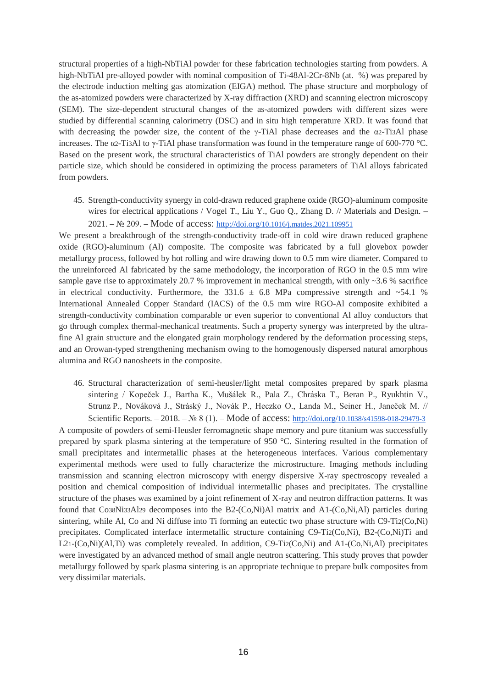structural properties of a high-NbTiAl powder for these fabrication technologies starting from powders. A high-NbTiAl pre-alloyed powder with nominal composition of Ti-48Al-2Cr-8Nb (at. %) was prepared by the electrode induction melting gas atomization (EIGA) method. The phase structure and morphology of the as-atomized powders were characterized by X-ray diffraction (XRD) and scanning electron microscopy (SEM). The size-dependent structural changes of the as-atomized powders with different sizes were studied by differential scanning calorimetry (DSC) and in situ high temperature XRD. It was found that with decreasing the powder size, the content of the  $\gamma$ -TiAl phase decreases and the  $\alpha$ 2-Ti3Al phase increases. The α2-Ti3Al to γ-TiAl phase transformation was found in the temperature range of 600-770 °C. Based on the present work, the structural characteristics of TiAl powders are strongly dependent on their particle size, which should be considered in optimizing the process parameters of TiAl alloys fabricated from powders.

45. Strength-conductivity synergy in cold-drawn reduced graphene oxide (RGO)-aluminum composite wires for electrical applications / Vogel T., Liu Y., Guo Q., Zhang D. // Materials and Design. – 2021. – № 209. – Mode of access:<http://doi.org/10.1016/j.matdes.2021.109951>

We present a breakthrough of the strength-conductivity trade-off in cold wire drawn reduced graphene oxide (RGO)-aluminum (Al) composite. The composite was fabricated by a full glovebox powder metallurgy process, followed by hot rolling and wire drawing down to 0.5 mm wire diameter. Compared to the unreinforced Al fabricated by the same methodology, the incorporation of RGO in the 0.5 mm wire sample gave rise to approximately 20.7 % improvement in mechanical strength, with only  $\sim$  3.6 % sacrifice in electrical conductivity. Furthermore, the 331.6  $\pm$  6.8 MPa compressive strength and ~54.1 % International Annealed Copper Standard (IACS) of the 0.5 mm wire RGO-Al composite exhibited a strength-conductivity combination comparable or even superior to conventional Al alloy conductors that go through complex thermal-mechanical treatments. Such a property synergy was interpreted by the ultrafine Al grain structure and the elongated grain morphology rendered by the deformation processing steps, and an Orowan-typed strengthening mechanism owing to the homogenously dispersed natural amorphous alumina and RGO nanosheets in the composite.

46. Structural characterization of semi-heusler/light metal composites prepared by spark plasma sintering / Kopeček J., Bartha K., Mušálek R., Pala Z., Chráska T., Beran P., Ryukhtin V., Strunz P., Nováková J., Stráský J., Novák P., Heczko O., Landa M., Seiner H., Janeček M. // Scientific Reports. – 2018. – № 8 (1). – Mode of access:<http://doi.org/10.1038/s41598-018-29479-3>

A composite of powders of semi-Heusler ferromagnetic shape memory and pure titanium was successfully prepared by spark plasma sintering at the temperature of 950 °C. Sintering resulted in the formation of small precipitates and intermetallic phases at the heterogeneous interfaces. Various complementary experimental methods were used to fully characterize the microstructure. Imaging methods including transmission and scanning electron microscopy with energy dispersive X-ray spectroscopy revealed a position and chemical composition of individual intermetallic phases and precipitates. The crystalline structure of the phases was examined by a joint refinement of X-ray and neutron diffraction patterns. It was found that Co38Ni33Al29 decomposes into the B2-(Co,Ni)Al matrix and A1-(Co,Ni,Al) particles during sintering, while Al, Co and Ni diffuse into Ti forming an eutectic two phase structure with C9-Ti2(Co,Ni) precipitates. Complicated interface intermetallic structure containing C9-Ti2(Co,Ni), B2-(Co,Ni)Ti and L21-(Co,Ni)(Al,Ti) was completely revealed. In addition, C9-Ti2(Co,Ni) and A1-(Co,Ni,Al) precipitates were investigated by an advanced method of small angle neutron scattering. This study proves that powder metallurgy followed by spark plasma sintering is an appropriate technique to prepare bulk composites from very dissimilar materials.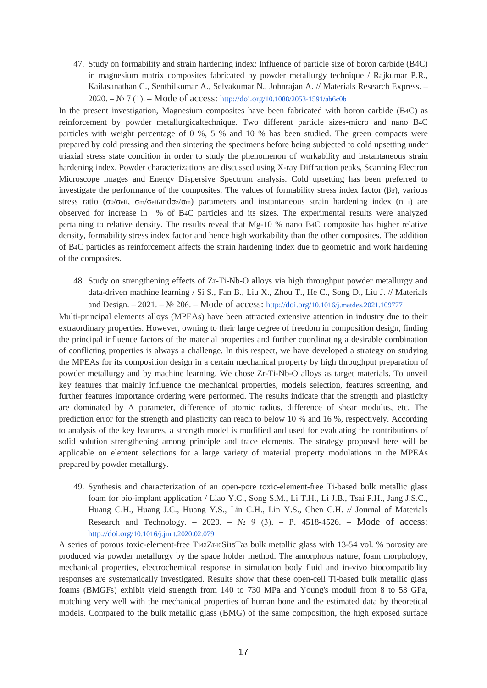47. Study on formability and strain hardening index: Influence of particle size of boron carbide (B4C) in magnesium matrix composites fabricated by powder metallurgy technique / Rajkumar P.R., Kailasanathan C., Senthilkumar A., Selvakumar N., Johnrajan A. // Materials Research Express. – 2020. – № 7 (1). – Mode of access:<http://doi.org/10.1088/2053-1591/ab6c0b>

In the present investigation, Magnesium composites have been fabricated with boron carbide (B4C) as reinforcement by powder metallurgicaltechnique. Two different particle sizes-micro and nano B4C particles with weight percentage of 0 %, 5 % and 10 % has been studied. The green compacts were prepared by cold pressing and then sintering the specimens before being subjected to cold upsetting under triaxial stress state condition in order to study the phenomenon of workability and instantaneous strain hardening index. Powder characterizations are discussed using X-ray Diffraction peaks, Scanning Electron Microscope images and Energy Dispersive Spectrum analysis. Cold upsetting has been preferred to investigate the performance of the composites. The values of formability stress index factor ( $\beta_{\sigma}$ ), various stress ratio (σθ/σeff, σm/σeffandσz/σm) parameters and instantaneous strain hardening index (n i) are observed for increase in % of B4C particles and its sizes. The experimental results were analyzed pertaining to relative density. The results reveal that Mg-10 % nano B4C composite has higher relative density, formability stress index factor and hence high workability than the other composites. The addition of B4C particles as reinforcement affects the strain hardening index due to geometric and work hardening of the composites.

48. Study on strengthening effects of Zr-Ti-Nb-O alloys via high throughput powder metallurgy and data-driven machine learning / Si S., Fan B., Liu X., Zhou T., He C., Song D., Liu J. // Materials and Design. – 2021. – № 206. – Mode of access:<http://doi.org/10.1016/j.matdes.2021.109777>

Multi-principal elements alloys (MPEAs) have been attracted extensive attention in industry due to their extraordinary properties. However, owning to their large degree of freedom in composition design, finding the principal influence factors of the material properties and further coordinating a desirable combination of conflicting properties is always a challenge. In this respect, we have developed a strategy on studying the MPEAs for its composition design in a certain mechanical property by high throughput preparation of powder metallurgy and by machine learning. We chose Zr-Ti-Nb-O alloys as target materials. To unveil key features that mainly influence the mechanical properties, models selection, features screening, and further features importance ordering were performed. The results indicate that the strength and plasticity are dominated by Λ parameter, difference of atomic radius, difference of shear modulus, etc. The prediction error for the strength and plasticity can reach to below 10 % and 16 %, respectively. According to analysis of the key features, a strength model is modified and used for evaluating the contributions of solid solution strengthening among principle and trace elements. The strategy proposed here will be applicable on element selections for a large variety of material property modulations in the MPEAs prepared by powder metallurgy.

49. Synthesis and characterization of an open-pore toxic-element-free Ti-based bulk metallic glass foam for bio-implant application / Liao Y.C., Song S.M., Li T.H., Li J.B., Tsai P.H., Jang J.S.C., Huang C.H., Huang J.C., Huang Y.S., Lin C.H., Lin Y.S., Chen C.H. // Journal of Materials Research and Technology. – 2020. – № 9 (3). – Р. 4518-4526. – Mode of access: <http://doi.org/10.1016/j.jmrt.2020.02.079>

A series of porous toxic-element-free Ti42Zr40Si15Ta3 bulk metallic glass with 13-54 vol. % porosity are produced via powder metallurgy by the space holder method. The amorphous nature, foam morphology, mechanical properties, electrochemical response in simulation body fluid and in-vivo biocompatibility responses are systematically investigated. Results show that these open-cell Ti-based bulk metallic glass foams (BMGFs) exhibit yield strength from 140 to 730 MPa and Young's moduli from 8 to 53 GPa, matching very well with the mechanical properties of human bone and the estimated data by theoretical models. Compared to the bulk metallic glass (BMG) of the same composition, the high exposed surface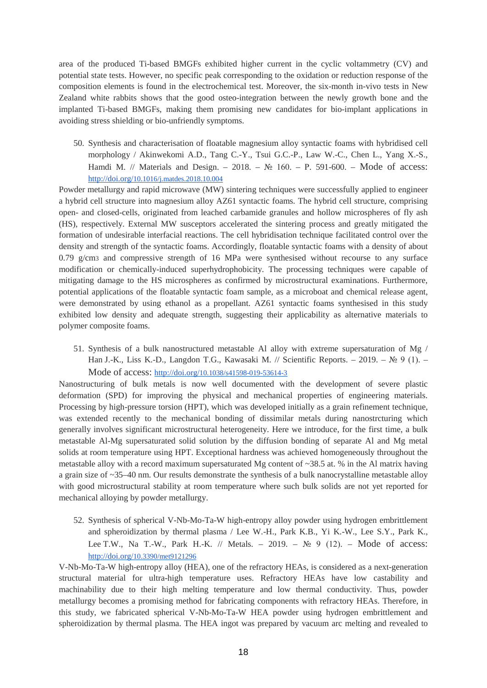area of the produced Ti-based BMGFs exhibited higher current in the cyclic voltammetry (CV) and potential state tests. However, no specific peak corresponding to the oxidation or reduction response of the composition elements is found in the electrochemical test. Moreover, the six-month in-vivo tests in New Zealand white rabbits shows that the good osteo-integration between the newly growth bone and the implanted Ti-based BMGFs, making them promising new candidates for bio-implant applications in avoiding stress shielding or bio-unfriendly symptoms.

50. Synthesis and characterisation of floatable magnesium alloy syntactic foams with hybridised cell morphology / Akinwekomi A.D., Tang C.-Y., Tsui G.C.-P., Law W.-C., Chen L., Yang X.-S., Hamdi M. // Materials and Design. – 2018. –  $\mathbb{N}$  160. – P. 591-600. – Mode of access: <http://doi.org/10.1016/j.matdes.2018.10.004>

Powder metallurgy and rapid microwave (MW) sintering techniques were successfully applied to engineer a hybrid cell structure into magnesium alloy AZ61 syntactic foams. The hybrid cell structure, comprising open- and closed-cells, originated from leached carbamide granules and hollow microspheres of fly ash (HS), respectively. External MW susceptors accelerated the sintering process and greatly mitigated the formation of undesirable interfacial reactions. The cell hybridisation technique facilitated control over the density and strength of the syntactic foams. Accordingly, floatable syntactic foams with a density of about 0.79 g/cm3 and compressive strength of 16 MPa were synthesised without recourse to any surface modification or chemically-induced superhydrophobicity. The processing techniques were capable of mitigating damage to the HS microspheres as confirmed by microstructural examinations. Furthermore, potential applications of the floatable syntactic foam sample, as a microboat and chemical release agent, were demonstrated by using ethanol as a propellant. AZ61 syntactic foams synthesised in this study exhibited low density and adequate strength, suggesting their applicability as alternative materials to polymer composite foams.

51. Synthesis of a bulk nanostructured metastable Al alloy with extreme supersaturation of Mg / Han J.-K., Liss K.-D., Langdon T.G., Kawasaki M. // Scientific Reports. – 2019. – № 9 (1). – Mode of access:<http://doi.org/10.1038/s41598-019-53614-3>

Nanostructuring of bulk metals is now well documented with the development of severe plastic deformation (SPD) for improving the physical and mechanical properties of engineering materials. Processing by high-pressure torsion (HPT), which was developed initially as a grain refinement technique, was extended recently to the mechanical bonding of dissimilar metals during nanostrcturing which generally involves significant microstructural heterogeneity. Here we introduce, for the first time, a bulk metastable Al-Mg supersaturated solid solution by the diffusion bonding of separate Al and Mg metal solids at room temperature using HPT. Exceptional hardness was achieved homogeneously throughout the metastable alloy with a record maximum supersaturated Mg content of  $\sim$ 38.5 at. % in the Al matrix having a grain size of ~35–40 nm. Our results demonstrate the synthesis of a bulk nanocrystalline metastable alloy with good microstructural stability at room temperature where such bulk solids are not yet reported for mechanical alloying by powder metallurgy.

52. Synthesis of spherical V-Nb-Mo-Ta-W high-entropy alloy powder using hydrogen embrittlement and spheroidization by thermal plasma / Lee W.-H., Park K.B., Yi K.-W., Lee S.Y., Park K., Lee T.W., Na T.-W., Park H.-K. // Metals. – 2019. –  $\mathbb{N}^2$  9 (12). – Mode of access: <http://doi.org/10.3390/met9121296>

V-Nb-Mo-Ta-W high-entropy alloy (HEA), one of the refractory HEAs, is considered as a next-generation structural material for ultra-high temperature uses. Refractory HEAs have low castability and machinability due to their high melting temperature and low thermal conductivity. Thus, powder metallurgy becomes a promising method for fabricating components with refractory HEAs. Therefore, in this study, we fabricated spherical V-Nb-Mo-Ta-W HEA powder using hydrogen embrittlement and spheroidization by thermal plasma. The HEA ingot was prepared by vacuum arc melting and revealed to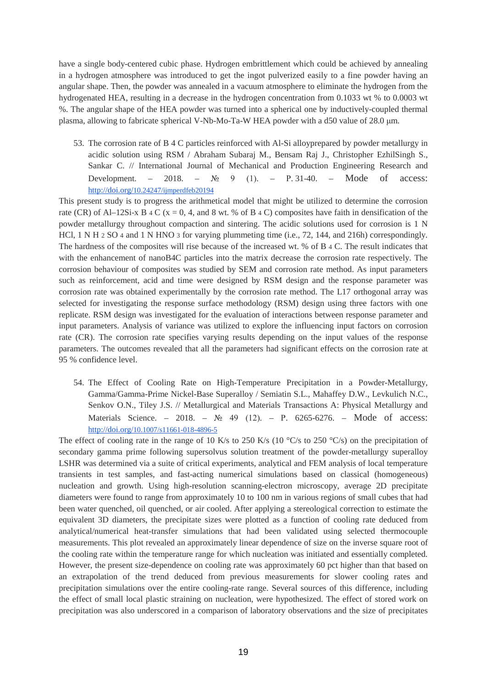have a single body-centered cubic phase. Hydrogen embrittlement which could be achieved by annealing in a hydrogen atmosphere was introduced to get the ingot pulverized easily to a fine powder having an angular shape. Then, the powder was annealed in a vacuum atmosphere to eliminate the hydrogen from the hydrogenated HEA, resulting in a decrease in the hydrogen concentration from 0.1033 wt % to 0.0003 wt %. The angular shape of the HEA powder was turned into a spherical one by inductively-coupled thermal plasma, allowing to fabricate spherical V-Nb-Mo-Ta-W HEA powder with a d50 value of 28.0 μm.

53. The corrosion rate of B 4 C particles reinforced with Al-Si alloyprepared by powder metallurgy in acidic solution using RSM / Abraham Subaraj M., Bensam Raj J., Christopher EzhilSingh S., Sankar C. // International Journal of Mechanical and Production Engineering Research and Development. – 2018. –  $N_2$  9 (1). – P. 31-40. – Mode of access: <http://doi.org/10.24247/ijmperdfeb20194>

This present study is to progress the arithmetical model that might be utilized to determine the corrosion rate (CR) of Al–12Si-x B 4 C ( $x = 0, 4$ , and 8 wt. % of B 4 C) composites have faith in densification of the powder metallurgy throughout compaction and sintering. The acidic solutions used for corrosion is 1 N HCl, 1 N H 2 SO 4 and 1 N HNO 3 for varying plummeting time (i.e., 72, 144, and 216h) correspondingly. The hardness of the composites will rise because of the increased wt. % of B 4 C. The result indicates that with the enhancement of nanoB4C particles into the matrix decrease the corrosion rate respectively. The corrosion behaviour of composites was studied by SEM and corrosion rate method. As input parameters such as reinforcement, acid and time were designed by RSM design and the response parameter was corrosion rate was obtained experimentally by the corrosion rate method. The L17 orthogonal array was selected for investigating the response surface methodology (RSM) design using three factors with one replicate. RSM design was investigated for the evaluation of interactions between response parameter and input parameters. Analysis of variance was utilized to explore the influencing input factors on corrosion rate (CR). The corrosion rate specifies varying results depending on the input values of the response parameters. The outcomes revealed that all the parameters had significant effects on the corrosion rate at 95 % confidence level.

54. The Effect of Cooling Rate on High-Temperature Precipitation in a Powder-Metallurgy, Gamma/Gamma-Prime Nickel-Base Superalloy / Semiatin S.L., Mahaffey D.W., Levkulich N.C., Senkov O.N., Tiley J.S. // Metallurgical and Materials Transactions A: Physical Metallurgy and Materials Science. – 2018. – № 49 (12). – Р. 6265-6276. – Mode of access: <http://doi.org/10.1007/s11661-018-4896-5>

The effect of cooling rate in the range of 10 K/s to 250 K/s (10  $\degree$ C/s to 250  $\degree$ C/s) on the precipitation of secondary gamma prime following supersolvus solution treatment of the powder-metallurgy superalloy LSHR was determined via a suite of critical experiments, analytical and FEM analysis of local temperature transients in test samples, and fast-acting numerical simulations based on classical (homogeneous) nucleation and growth. Using high-resolution scanning-electron microscopy, average 2D precipitate diameters were found to range from approximately 10 to 100 nm in various regions of small cubes that had been water quenched, oil quenched, or air cooled. After applying a stereological correction to estimate the equivalent 3D diameters, the precipitate sizes were plotted as a function of cooling rate deduced from analytical/numerical heat-transfer simulations that had been validated using selected thermocouple measurements. This plot revealed an approximately linear dependence of size on the inverse square root of the cooling rate within the temperature range for which nucleation was initiated and essentially completed. However, the present size-dependence on cooling rate was approximately 60 pct higher than that based on an extrapolation of the trend deduced from previous measurements for slower cooling rates and precipitation simulations over the entire cooling-rate range. Several sources of this difference, including the effect of small local plastic straining on nucleation, were hypothesized. The effect of stored work on precipitation was also underscored in a comparison of laboratory observations and the size of precipitates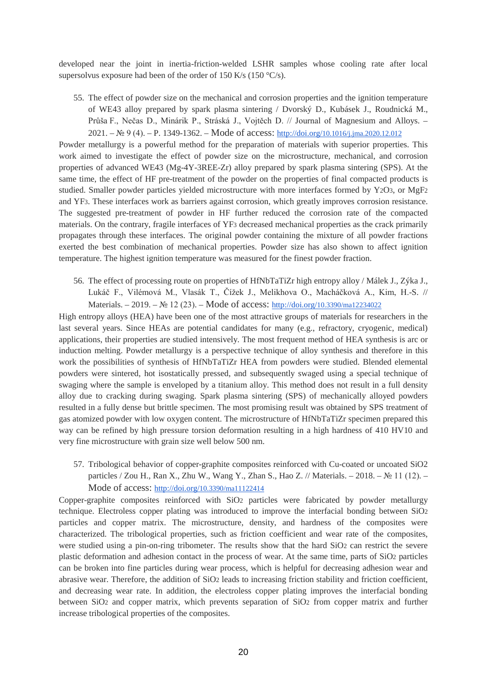developed near the joint in inertia-friction-welded LSHR samples whose cooling rate after local supersolvus exposure had been of the order of 150 K/s (150  $\degree$ C/s).

55. The effect of powder size on the mechanical and corrosion properties and the ignition temperature of WE43 alloy prepared by spark plasma sintering / Dvorský D., Kubásek J., Roudnická M., Průša F., Nečas D., Minárik P., Stráská J., Vojtěch D. // Journal of Magnesium and Alloys. – 2021. – № 9 (4). – P. 1349-1362. – Mode of access:<http://doi.org/10.1016/j.jma.2020.12.012>

Powder metallurgy is a powerful method for the preparation of materials with superior properties. This work aimed to investigate the effect of powder size on the microstructure, mechanical, and corrosion properties of advanced WE43 (Mg-4Y-3REE-Zr) alloy prepared by spark plasma sintering (SPS). At the same time, the effect of HF pre-treatment of the powder on the properties of final compacted products is studied. Smaller powder particles yielded microstructure with more interfaces formed by Y2O3, or MgF2 and YF3. These interfaces work as barriers against corrosion, which greatly improves corrosion resistance. The suggested pre-treatment of powder in HF further reduced the corrosion rate of the compacted materials. On the contrary, fragile interfaces of YF3 decreased mechanical properties as the crack primarily propagates through these interfaces. The original powder containing the mixture of all powder fractions exerted the best combination of mechanical properties. Powder size has also shown to affect ignition temperature. The highest ignition temperature was measured for the finest powder fraction.

56. The effect of processing route on properties of HfNbTaTiZr high entropy alloy / Málek J., Zýka J., Lukáč F., Vilémová M., Vlasák T., Čížek J., Melikhova O., Macháčková A., Kim, H.-S. // Materials. – 2019. – № 12 (23). – Mode of access:<http://doi.org/10.3390/ma12234022>

High entropy alloys (HEA) have been one of the most attractive groups of materials for researchers in the last several years. Since HEAs are potential candidates for many (e.g., refractory, cryogenic, medical) applications, their properties are studied intensively. The most frequent method of HEA synthesis is arc or induction melting. Powder metallurgy is a perspective technique of alloy synthesis and therefore in this work the possibilities of synthesis of HfNbTaTiZr HEA from powders were studied. Blended elemental powders were sintered, hot isostatically pressed, and subsequently swaged using a special technique of swaging where the sample is enveloped by a titanium alloy. This method does not result in a full density alloy due to cracking during swaging. Spark plasma sintering (SPS) of mechanically alloyed powders resulted in a fully dense but brittle specimen. The most promising result was obtained by SPS treatment of gas atomized powder with low oxygen content. The microstructure of HfNbTaTiZr specimen prepared this way can be refined by high pressure torsion deformation resulting in a high hardness of 410 HV10 and very fine microstructure with grain size well below 500 nm.

57. Tribological behavior of copper-graphite composites reinforced with Cu-coated or uncoated SiO2 particles / Zou H., Ran X., Zhu W., Wang Y., Zhan S., Hao Z. // Materials. – 2018. – № 11 (12). – Mode of access:<http://doi.org/10.3390/ma11122414>

Copper-graphite composites reinforced with SiO2 particles were fabricated by powder metallurgy technique. Electroless copper plating was introduced to improve the interfacial bonding between SiO2 particles and copper matrix. The microstructure, density, and hardness of the composites were characterized. The tribological properties, such as friction coefficient and wear rate of the composites, were studied using a pin-on-ring tribometer. The results show that the hard SiO2 can restrict the severe plastic deformation and adhesion contact in the process of wear. At the same time, parts of SiO2 particles can be broken into fine particles during wear process, which is helpful for decreasing adhesion wear and abrasive wear. Therefore, the addition of SiO2 leads to increasing friction stability and friction coefficient, and decreasing wear rate. In addition, the electroless copper plating improves the interfacial bonding between SiO2 and copper matrix, which prevents separation of SiO2 from copper matrix and further increase tribological properties of the composites.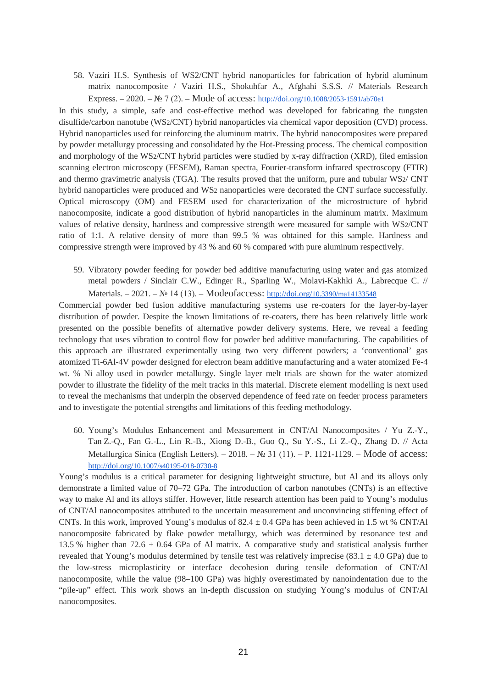58. Vaziri H.S. Synthesis of WS2/CNT hybrid nanoparticles for fabrication of hybrid aluminum matrix nanocomposite / Vaziri H.S., Shokuhfar A., Afghahi S.S.S. // Materials Research Express. – 2020. – № 7 (2). – Mode of access:<http://doi.org/10.1088/2053-1591/ab70e1>

In this study, a simple, safe and cost-effective method was developed for fabricating the tungsten disulfide/carbon nanotube (WS2/CNT) hybrid nanoparticles via chemical vapor deposition (CVD) process. Hybrid nanoparticles used for reinforcing the aluminum matrix. The hybrid nanocomposites were prepared by powder metallurgy processing and consolidated by the Hot-Pressing process. The chemical composition and morphology of the WS2/CNT hybrid particles were studied by x-ray diffraction (XRD), filed emission scanning electron microscopy (FESEM), Raman spectra, Fourier-transform infrared spectroscopy (FTIR) and thermo gravimetric analysis (TGA). The results proved that the uniform, pure and tubular WS2/ CNT hybrid nanoparticles were produced and WS2 nanoparticles were decorated the CNT surface successfully. Optical microscopy (OM) and FESEM used for characterization of the microstructure of hybrid nanocomposite, indicate a good distribution of hybrid nanoparticles in the aluminum matrix. Maximum values of relative density, hardness and compressive strength were measured for sample with WS2/CNT ratio of 1:1. A relative density of more than 99.5 % was obtained for this sample. Hardness and compressive strength were improved by 43 % and 60 % compared with pure aluminum respectively.

59. Vibratory powder feeding for powder bed additive manufacturing using water and gas atomized metal powders / Sinclair C.W., Edinger R., Sparling W., Molavi-Kakhki A., Labrecque C. // Materials. – 2021. – № 14 (13). – Modeofaccess:<http://doi.org/10.3390/ma14133548>

Commercial powder bed fusion additive manufacturing systems use re-coaters for the layer-by-layer distribution of powder. Despite the known limitations of re-coaters, there has been relatively little work presented on the possible benefits of alternative powder delivery systems. Here, we reveal a feeding technology that uses vibration to control flow for powder bed additive manufacturing. The capabilities of this approach are illustrated experimentally using two very different powders; a 'conventional' gas atomized Ti-6Al-4V powder designed for electron beam additive manufacturing and a water atomized Fe-4 wt. % Ni alloy used in powder metallurgy. Single layer melt trials are shown for the water atomized powder to illustrate the fidelity of the melt tracks in this material. Discrete element modelling is next used to reveal the mechanisms that underpin the observed dependence of feed rate on feeder process parameters and to investigate the potential strengths and limitations of this feeding methodology.

60. Young's Modulus Enhancement and Measurement in CNT/Al Nanocomposites / Yu Z.-Y., Tan Z.-Q., Fan G.-L., Lin R.-B., Xiong D.-B., Guo Q., Su Y.-S., Li Z.-Q., Zhang D. // Acta Metallurgica Sinica (English Letters). – 2018. –  $\mathbb{N}$  31 (11). – P. 1121-1129. – Mode of access: <http://doi.org/10.1007/s40195-018-0730-8>

Young's modulus is a critical parameter for designing lightweight structure, but Al and its alloys only demonstrate a limited value of 70–72 GPa. The introduction of carbon nanotubes (CNTs) is an effective way to make Al and its alloys stiffer. However, little research attention has been paid to Young's modulus of CNT/Al nanocomposites attributed to the uncertain measurement and unconvincing stiffening effect of CNTs. In this work, improved Young's modulus of  $82.4 \pm 0.4$  GPa has been achieved in 1.5 wt % CNT/Al nanocomposite fabricated by flake powder metallurgy, which was determined by resonance test and 13.5 % higher than 72.6  $\pm$  0.64 GPa of Al matrix. A comparative study and statistical analysis further revealed that Young's modulus determined by tensile test was relatively imprecise  $(83.1 \pm 4.0 \text{ GPa})$  due to the low-stress microplasticity or interface decohesion during tensile deformation of CNT/Al nanocomposite, while the value (98–100 GPa) was highly overestimated by nanoindentation due to the "pile-up" effect. This work shows an in-depth discussion on studying Young's modulus of CNT/Al nanocomposites.